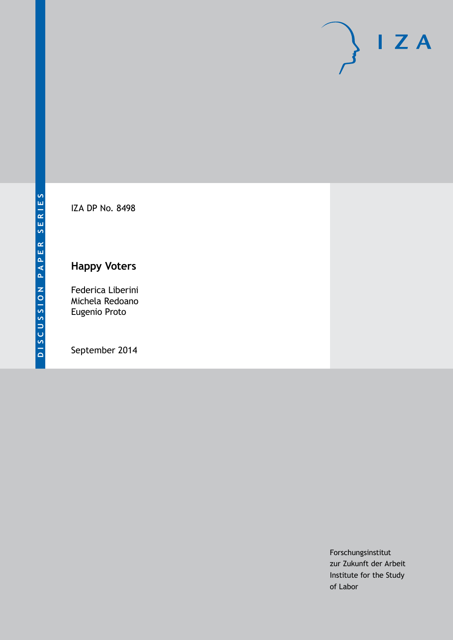

IZA DP No. 8498

## **Happy Voters**

Federica Liberini Michela Redoano Eugenio Proto

September 2014

Forschungsinstitut zur Zukunft der Arbeit Institute for the Study of Labor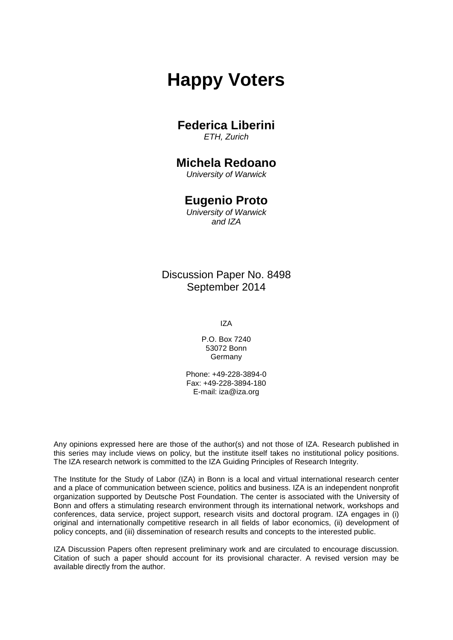# **Happy Voters**

### **Federica Liberini**

*ETH, Zurich*

### **Michela Redoano**

*University of Warwick*

### **Eugenio Proto**

*University of Warwick and IZA*

### Discussion Paper No. 8498 September 2014

IZA

P.O. Box 7240 53072 Bonn Germany

Phone: +49-228-3894-0 Fax: +49-228-3894-180 E-mail: [iza@iza.org](mailto:iza@iza.org)

Any opinions expressed here are those of the author(s) and not those of IZA. Research published in this series may include views on policy, but the institute itself takes no institutional policy positions. The IZA research network is committed to the IZA Guiding Principles of Research Integrity.

The Institute for the Study of Labor (IZA) in Bonn is a local and virtual international research center and a place of communication between science, politics and business. IZA is an independent nonprofit organization supported by Deutsche Post Foundation. The center is associated with the University of Bonn and offers a stimulating research environment through its international network, workshops and conferences, data service, project support, research visits and doctoral program. IZA engages in (i) original and internationally competitive research in all fields of labor economics, (ii) development of policy concepts, and (iii) dissemination of research results and concepts to the interested public.

<span id="page-1-0"></span>IZA Discussion Papers often represent preliminary work and are circulated to encourage discussion. Citation of such a paper should account for its provisional character. A revised version may be available directly from the author.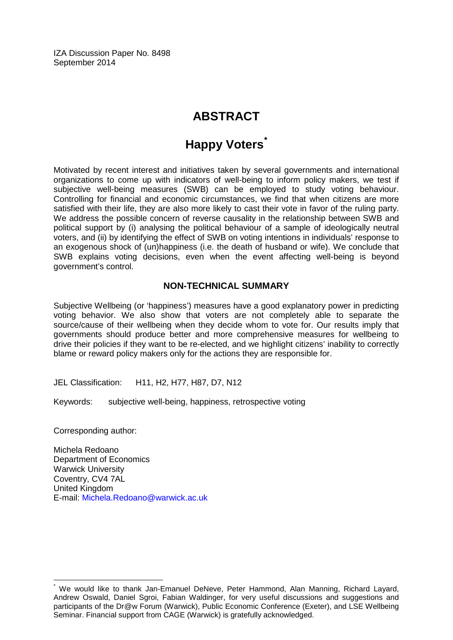IZA Discussion Paper No. 8498 September 2014

## **ABSTRACT**

## **Happy Voters[\\*](#page-1-0)**

Motivated by recent interest and initiatives taken by several governments and international organizations to come up with indicators of well-being to inform policy makers, we test if subjective well-being measures (SWB) can be employed to study voting behaviour. Controlling for financial and economic circumstances, we find that when citizens are more satisfied with their life, they are also more likely to cast their vote in favor of the ruling party. We address the possible concern of reverse causality in the relationship between SWB and political support by (i) analysing the political behaviour of a sample of ideologically neutral voters, and (ii) by identifying the effect of SWB on voting intentions in individuals' response to an exogenous shock of (un)happiness (i.e. the death of husband or wife). We conclude that SWB explains voting decisions, even when the event affecting well-being is beyond government's control.

#### **NON-TECHNICAL SUMMARY**

Subjective Wellbeing (or 'happiness') measures have a good explanatory power in predicting voting behavior. We also show that voters are not completely able to separate the source/cause of their wellbeing when they decide whom to vote for. Our results imply that governments should produce better and more comprehensive measures for wellbeing to drive their policies if they want to be re-elected, and we highlight citizens' inability to correctly blame or reward policy makers only for the actions they are responsible for.

JEL Classification: H11, H2, H77, H87, D7, N12

Keywords: subjective well-being, happiness, retrospective voting

Corresponding author:

Michela Redoano Department of Economics Warwick University Coventry, CV4 7AL United Kingdom E-mail: [Michela.Redoano@warwick.ac.uk](mailto:Michela.Redoano@warwick.ac.uk)

We would like to thank Jan-Emanuel DeNeve, Peter Hammond, Alan Manning, Richard Layard, Andrew Oswald, Daniel Sgroi, Fabian Waldinger, for very useful discussions and suggestions and participants of the Dr@w Forum (Warwick), Public Economic Conference (Exeter), and LSE Wellbeing Seminar. Financial support from CAGE (Warwick) is gratefully acknowledged.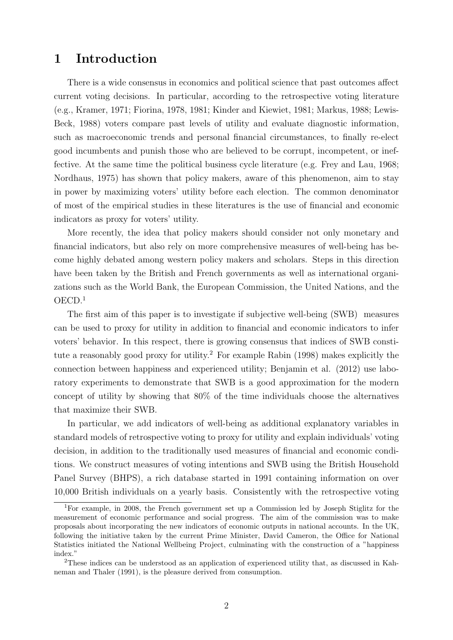## 1 Introduction

There is a wide consensus in economics and political science that past outcomes affect current voting decisions. In particular, according to the retrospective voting literature (e.g., Kramer, 1971; Fiorina, 1978, 1981; Kinder and Kiewiet, 1981; Markus, 1988; Lewis-Beck, 1988) voters compare past levels of utility and evaluate diagnostic information, such as macroeconomic trends and personal financial circumstances, to finally re-elect good incumbents and punish those who are believed to be corrupt, incompetent, or ineffective. At the same time the political business cycle literature (e.g. Frey and Lau, 1968; Nordhaus, 1975) has shown that policy makers, aware of this phenomenon, aim to stay in power by maximizing voters' utility before each election. The common denominator of most of the empirical studies in these literatures is the use of financial and economic indicators as proxy for voters' utility.

More recently, the idea that policy makers should consider not only monetary and financial indicators, but also rely on more comprehensive measures of well-being has become highly debated among western policy makers and scholars. Steps in this direction have been taken by the British and French governments as well as international organizations such as the World Bank, the European Commission, the United Nations, and the OECD.<sup>1</sup>

The first aim of this paper is to investigate if subjective well-being (SWB) measures can be used to proxy for utility in addition to financial and economic indicators to infer voters' behavior. In this respect, there is growing consensus that indices of SWB constitute a reasonably good proxy for utility.<sup>2</sup> For example Rabin (1998) makes explicitly the connection between happiness and experienced utility; Benjamin et al. (2012) use laboratory experiments to demonstrate that SWB is a good approximation for the modern concept of utility by showing that 80% of the time individuals choose the alternatives that maximize their SWB.

In particular, we add indicators of well-being as additional explanatory variables in standard models of retrospective voting to proxy for utility and explain individuals' voting decision, in addition to the traditionally used measures of financial and economic conditions. We construct measures of voting intentions and SWB using the British Household Panel Survey (BHPS), a rich database started in 1991 containing information on over 10,000 British individuals on a yearly basis. Consistently with the retrospective voting

<sup>1</sup>For example, in 2008, the French government set up a Commission led by Joseph Stiglitz for the measurement of economic performance and social progress. The aim of the commission was to make proposals about incorporating the new indicators of economic outputs in national accounts. In the UK, following the initiative taken by the current Prime Minister, David Cameron, the Office for National Statistics initiated the National Wellbeing Project, culminating with the construction of a "happiness index."

<sup>2</sup>These indices can be understood as an application of experienced utility that, as discussed in Kahneman and Thaler (1991), is the pleasure derived from consumption.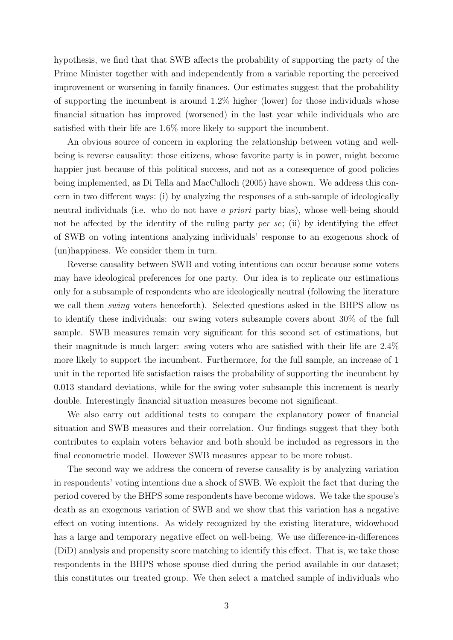hypothesis, we find that that SWB affects the probability of supporting the party of the Prime Minister together with and independently from a variable reporting the perceived improvement or worsening in family finances. Our estimates suggest that the probability of supporting the incumbent is around 1.2% higher (lower) for those individuals whose financial situation has improved (worsened) in the last year while individuals who are satisfied with their life are 1.6% more likely to support the incumbent.

An obvious source of concern in exploring the relationship between voting and wellbeing is reverse causality: those citizens, whose favorite party is in power, might become happier just because of this political success, and not as a consequence of good policies being implemented, as Di Tella and MacCulloch (2005) have shown. We address this concern in two different ways: (i) by analyzing the responses of a sub-sample of ideologically neutral individuals (i.e. who do not have a priori party bias), whose well-being should not be affected by the identity of the ruling party per se; (ii) by identifying the effect of SWB on voting intentions analyzing individuals' response to an exogenous shock of (un)happiness. We consider them in turn.

Reverse causality between SWB and voting intentions can occur because some voters may have ideological preferences for one party. Our idea is to replicate our estimations only for a subsample of respondents who are ideologically neutral (following the literature we call them swing voters henceforth). Selected questions asked in the BHPS allow us to identify these individuals: our swing voters subsample covers about 30% of the full sample. SWB measures remain very significant for this second set of estimations, but their magnitude is much larger: swing voters who are satisfied with their life are 2.4% more likely to support the incumbent. Furthermore, for the full sample, an increase of 1 unit in the reported life satisfaction raises the probability of supporting the incumbent by 0.013 standard deviations, while for the swing voter subsample this increment is nearly double. Interestingly financial situation measures become not significant.

We also carry out additional tests to compare the explanatory power of financial situation and SWB measures and their correlation. Our findings suggest that they both contributes to explain voters behavior and both should be included as regressors in the final econometric model. However SWB measures appear to be more robust.

The second way we address the concern of reverse causality is by analyzing variation in respondents' voting intentions due a shock of SWB. We exploit the fact that during the period covered by the BHPS some respondents have become widows. We take the spouse's death as an exogenous variation of SWB and we show that this variation has a negative effect on voting intentions. As widely recognized by the existing literature, widowhood has a large and temporary negative effect on well-being. We use difference-in-differences (DiD) analysis and propensity score matching to identify this effect. That is, we take those respondents in the BHPS whose spouse died during the period available in our dataset; this constitutes our treated group. We then select a matched sample of individuals who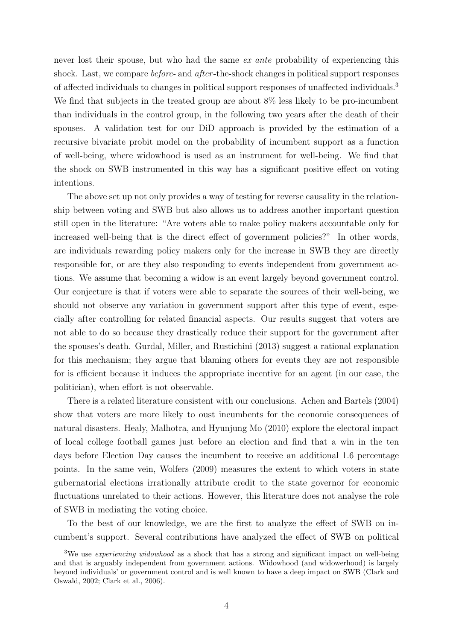never lost their spouse, but who had the same ex ante probability of experiencing this shock. Last, we compare *before*- and *after*-the-shock changes in political support responses of affected individuals to changes in political support responses of unaffected individuals.<sup>3</sup> We find that subjects in the treated group are about  $8\%$  less likely to be pro-incumbent than individuals in the control group, in the following two years after the death of their spouses. A validation test for our DiD approach is provided by the estimation of a recursive bivariate probit model on the probability of incumbent support as a function of well-being, where widowhood is used as an instrument for well-being. We find that the shock on SWB instrumented in this way has a significant positive effect on voting intentions.

The above set up not only provides a way of testing for reverse causality in the relationship between voting and SWB but also allows us to address another important question still open in the literature: "Are voters able to make policy makers accountable only for increased well-being that is the direct effect of government policies?" In other words, are individuals rewarding policy makers only for the increase in SWB they are directly responsible for, or are they also responding to events independent from government actions. We assume that becoming a widow is an event largely beyond government control. Our conjecture is that if voters were able to separate the sources of their well-being, we should not observe any variation in government support after this type of event, especially after controlling for related financial aspects. Our results suggest that voters are not able to do so because they drastically reduce their support for the government after the spouses's death. Gurdal, Miller, and Rustichini (2013) suggest a rational explanation for this mechanism; they argue that blaming others for events they are not responsible for is efficient because it induces the appropriate incentive for an agent (in our case, the politician), when effort is not observable.

There is a related literature consistent with our conclusions. Achen and Bartels (2004) show that voters are more likely to oust incumbents for the economic consequences of natural disasters. Healy, Malhotra, and Hyunjung Mo (2010) explore the electoral impact of local college football games just before an election and find that a win in the ten days before Election Day causes the incumbent to receive an additional 1.6 percentage points. In the same vein, Wolfers (2009) measures the extent to which voters in state gubernatorial elections irrationally attribute credit to the state governor for economic fluctuations unrelated to their actions. However, this literature does not analyse the role of SWB in mediating the voting choice.

To the best of our knowledge, we are the first to analyze the effect of SWB on incumbent's support. Several contributions have analyzed the effect of SWB on political

<sup>&</sup>lt;sup>3</sup>We use *experiencing widowhood* as a shock that has a strong and significant impact on well-being and that is arguably independent from government actions. Widowhood (and widowerhood) is largely beyond individuals' or government control and is well known to have a deep impact on SWB (Clark and Oswald, 2002; Clark et al., 2006).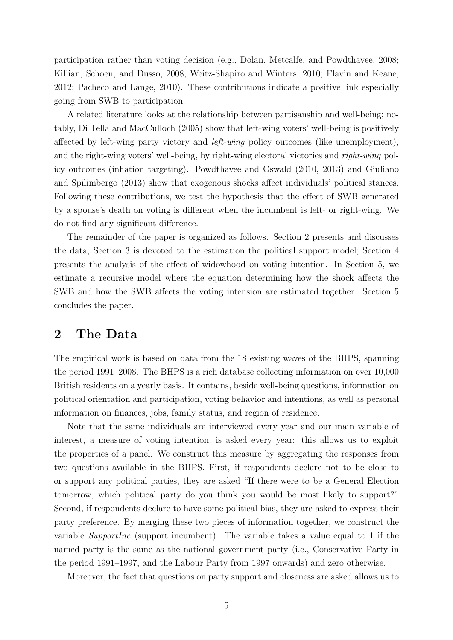participation rather than voting decision (e.g., Dolan, Metcalfe, and Powdthavee, 2008; Killian, Schoen, and Dusso, 2008; Weitz-Shapiro and Winters, 2010; Flavin and Keane, 2012; Pacheco and Lange, 2010). These contributions indicate a positive link especially going from SWB to participation.

A related literature looks at the relationship between partisanship and well-being; notably, Di Tella and MacCulloch (2005) show that left-wing voters' well-being is positively affected by left-wing party victory and left-wing policy outcomes (like unemployment), and the right-wing voters' well-being, by right-wing electoral victories and right-wing policy outcomes (inflation targeting). Powdthavee and Oswald (2010, 2013) and Giuliano and Spilimbergo (2013) show that exogenous shocks affect individuals' political stances. Following these contributions, we test the hypothesis that the effect of SWB generated by a spouse's death on voting is different when the incumbent is left- or right-wing. We do not find any significant difference.

The remainder of the paper is organized as follows. Section 2 presents and discusses the data; Section 3 is devoted to the estimation the political support model; Section 4 presents the analysis of the effect of widowhood on voting intention. In Section 5, we estimate a recursive model where the equation determining how the shock affects the SWB and how the SWB affects the voting intension are estimated together. Section 5 concludes the paper.

### 2 The Data

The empirical work is based on data from the 18 existing waves of the BHPS, spanning the period 1991–2008. The BHPS is a rich database collecting information on over 10,000 British residents on a yearly basis. It contains, beside well-being questions, information on political orientation and participation, voting behavior and intentions, as well as personal information on finances, jobs, family status, and region of residence.

Note that the same individuals are interviewed every year and our main variable of interest, a measure of voting intention, is asked every year: this allows us to exploit the properties of a panel. We construct this measure by aggregating the responses from two questions available in the BHPS. First, if respondents declare not to be close to or support any political parties, they are asked "If there were to be a General Election tomorrow, which political party do you think you would be most likely to support?" Second, if respondents declare to have some political bias, they are asked to express their party preference. By merging these two pieces of information together, we construct the variable SupportInc (support incumbent). The variable takes a value equal to 1 if the named party is the same as the national government party (i.e., Conservative Party in the period 1991–1997, and the Labour Party from 1997 onwards) and zero otherwise.

Moreover, the fact that questions on party support and closeness are asked allows us to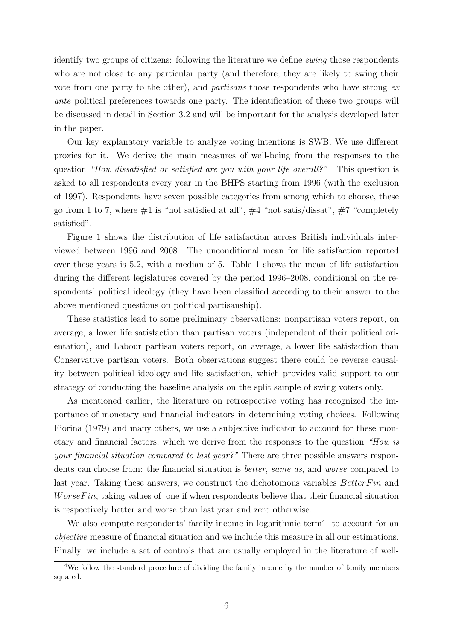identify two groups of citizens: following the literature we define swing those respondents who are not close to any particular party (and therefore, they are likely to swing their vote from one party to the other), and partisans those respondents who have strong ex ante political preferences towards one party. The identification of these two groups will be discussed in detail in Section 3.2 and will be important for the analysis developed later in the paper.

Our key explanatory variable to analyze voting intentions is SWB. We use different proxies for it. We derive the main measures of well-being from the responses to the question "How dissatisfied or satisfied are you with your life overall?" This question is asked to all respondents every year in the BHPS starting from 1996 (with the exclusion of 1997). Respondents have seven possible categories from among which to choose, these go from 1 to 7, where  $\#1$  is "not satisfied at all",  $\#4$  "not satis/dissat",  $\#7$  "completely satisfied".

Figure 1 shows the distribution of life satisfaction across British individuals interviewed between 1996 and 2008. The unconditional mean for life satisfaction reported over these years is 5.2, with a median of 5. Table 1 shows the mean of life satisfaction during the different legislatures covered by the period 1996–2008, conditional on the respondents' political ideology (they have been classified according to their answer to the above mentioned questions on political partisanship).

These statistics lead to some preliminary observations: nonpartisan voters report, on average, a lower life satisfaction than partisan voters (independent of their political orientation), and Labour partisan voters report, on average, a lower life satisfaction than Conservative partisan voters. Both observations suggest there could be reverse causality between political ideology and life satisfaction, which provides valid support to our strategy of conducting the baseline analysis on the split sample of swing voters only.

As mentioned earlier, the literature on retrospective voting has recognized the importance of monetary and financial indicators in determining voting choices. Following Fiorina (1979) and many others, we use a subjective indicator to account for these monetary and financial factors, which we derive from the responses to the question "How is your financial situation compared to last year?" There are three possible answers respondents can choose from: the financial situation is better, same as, and worse compared to last year. Taking these answers, we construct the dichotomous variables  $BetterFin$  and  $WorseFin$ , taking values of one if when respondents believe that their financial situation is respectively better and worse than last year and zero otherwise.

We also compute respondents' family income in logarithmic term<sup>4</sup> to account for an objective measure of financial situation and we include this measure in all our estimations. Finally, we include a set of controls that are usually employed in the literature of well-

 $\frac{4}{4}$ We follow the standard procedure of dividing the family income by the number of family members squared.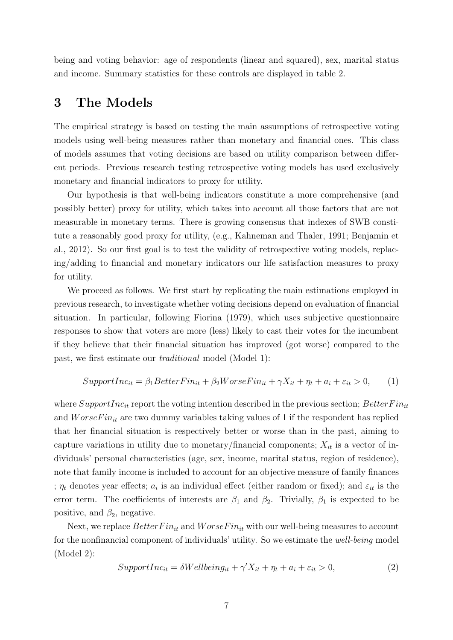being and voting behavior: age of respondents (linear and squared), sex, marital status and income. Summary statistics for these controls are displayed in table 2.

### 3 The Models

The empirical strategy is based on testing the main assumptions of retrospective voting models using well-being measures rather than monetary and financial ones. This class of models assumes that voting decisions are based on utility comparison between different periods. Previous research testing retrospective voting models has used exclusively monetary and financial indicators to proxy for utility.

Our hypothesis is that well-being indicators constitute a more comprehensive (and possibly better) proxy for utility, which takes into account all those factors that are not measurable in monetary terms. There is growing consensus that indexes of SWB constitute a reasonably good proxy for utility, (e.g., Kahneman and Thaler, 1991; Benjamin et al., 2012). So our first goal is to test the validity of retrospective voting models, replacing/adding to financial and monetary indicators our life satisfaction measures to proxy for utility.

We proceed as follows. We first start by replicating the main estimations employed in previous research, to investigate whether voting decisions depend on evaluation of financial situation. In particular, following Fiorina (1979), which uses subjective questionnaire responses to show that voters are more (less) likely to cast their votes for the incumbent if they believe that their financial situation has improved (got worse) compared to the past, we first estimate our traditional model (Model 1):

$$
SupportInc_{it} = \beta_1 BetterFin_{it} + \beta_2 WorseFin_{it} + \gamma X_{it} + \eta_t + a_i + \varepsilon_{it} > 0,
$$
 (1)

where  $SupportInc_{it}$  report the voting intention described in the previous section;  $BetterFin_{it}$ and  $WorseFin_{it}$  are two dummy variables taking values of 1 if the respondent has replied that her financial situation is respectively better or worse than in the past, aiming to capture variations in utility due to monetary/financial components;  $X_{it}$  is a vector of individuals' personal characteristics (age, sex, income, marital status, region of residence), note that family income is included to account for an objective measure of family finances ;  $\eta_t$  denotes year effects;  $a_i$  is an individual effect (either random or fixed); and  $\varepsilon_{it}$  is the error term. The coefficients of interests are  $\beta_1$  and  $\beta_2$ . Trivially,  $\beta_1$  is expected to be positive, and  $\beta_2$ , negative.

Next, we replace  $BetterFin_{it}$  and  $WorseFin_{it}$  with our well-being measures to account for the nonfinancial component of individuals' utility. So we estimate the well-being model (Model 2):

$$
SupportInc_{it} = \delta Wellbeing_{it} + \gamma' X_{it} + \eta_t + a_i + \varepsilon_{it} > 0,
$$
\n(2)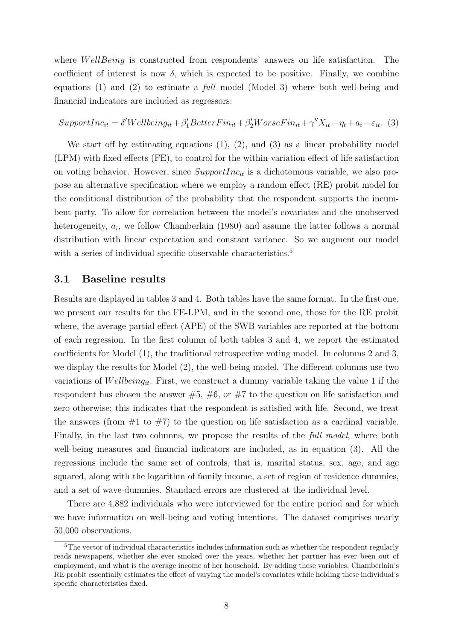where *WellBeing* is constructed from respondents' answers on life satisfaction. The coefficient of interest is now  $\delta$ , which is expected to be positive. Finally, we combine equations (1) and (2) to estimate a full model (Model 3) where both well-being and financial indicators are included as regressors:

$$
SupportInc_{it} = \delta'Wellbeing_{it} + \beta'_1 BetterFin_{it} + \beta'_2 WorseFin_{it} + \gamma''X_{it} + \eta_t + a_i + \varepsilon_{it}.
$$
 (3)

We start off by estimating equations (1), (2), and (3) as a linear probability model (LPM) with fixed effects (FE), to control for the within-variation effect of life satisfaction on voting behavior. However, since  $SupportInc_{it}$  is a dichotomous variable, we also propose an alternative specification where we employ a random effect (RE) probit model for the conditional distribution of the probability that the respondent supports the incumbent party. To allow for correlation between the model's covariates and the unobserved heterogeneity,  $a_i$ , we follow Chamberlain (1980) and assume the latter follows a normal distribution with linear expectation and constant variance. So we augment our model with a series of individual specific observable characteristics.<sup>5</sup>

#### 3.1 Baseline results

Results are displayed in tables 3 and 4. Both tables have the same format. In the first one, we present our results for the FE-LPM, and in the second one, those for the RE probit where, the average partial effect (APE) of the SWB variables are reported at the bottom of each regression. In the first column of both tables 3 and 4, we report the estimated coefficients for Model (1), the traditional retrospective voting model. In columns 2 and 3, we display the results for Model (2), the well-being model. The different columns use two variations of Wellbeing<sub>it</sub>. First, we construct a dummy variable taking the value 1 if the respondent has chosen the answer  $#5, #6,$  or  $#7$  to the question on life satisfaction and zero otherwise; this indicates that the respondent is satisfied with life. Second, we treat the answers (from  $#1$  to  $#7$ ) to the question on life satisfaction as a cardinal variable. Finally, in the last two columns, we propose the results of the *full model*, where both well-being measures and financial indicators are included, as in equation (3). All the regressions include the same set of controls, that is, marital status, sex, age, and age squared, along with the logarithm of family income, a set of region of residence dummies, and a set of wave-dummies. Standard errors are clustered at the individual level.

There are 4,882 individuals who were interviewed for the entire period and for which we have information on well-being and voting intentions. The dataset comprises nearly 50,000 observations.

<sup>5</sup>The vector of individual characteristics includes information such as whether the respondent regularly reads newspapers, whether she ever smoked over the years, whether her partner has ever been out of employment, and what is the average income of her household. By adding these variables, Chamberlain's RE probit essentially estimates the effect of varying the model's covariates while holding these individual's specific characteristics fixed.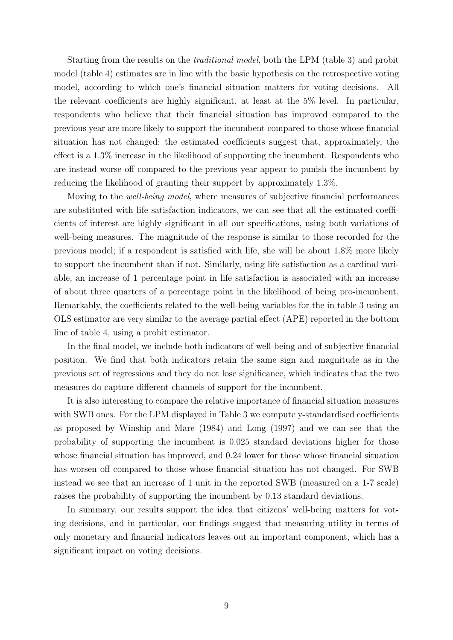Starting from the results on the traditional model, both the LPM (table 3) and probit model (table 4) estimates are in line with the basic hypothesis on the retrospective voting model, according to which one's financial situation matters for voting decisions. All the relevant coefficients are highly significant, at least at the 5% level. In particular, respondents who believe that their financial situation has improved compared to the previous year are more likely to support the incumbent compared to those whose financial situation has not changed; the estimated coefficients suggest that, approximately, the effect is a 1.3% increase in the likelihood of supporting the incumbent. Respondents who are instead worse off compared to the previous year appear to punish the incumbent by reducing the likelihood of granting their support by approximately 1.3%.

Moving to the well-being model, where measures of subjective financial performances are substituted with life satisfaction indicators, we can see that all the estimated coefficients of interest are highly significant in all our specifications, using both variations of well-being measures. The magnitude of the response is similar to those recorded for the previous model; if a respondent is satisfied with life, she will be about 1.8% more likely to support the incumbent than if not. Similarly, using life satisfaction as a cardinal variable, an increase of 1 percentage point in life satisfaction is associated with an increase of about three quarters of a percentage point in the likelihood of being pro-incumbent. Remarkably, the coefficients related to the well-being variables for the in table 3 using an OLS estimator are very similar to the average partial effect (APE) reported in the bottom line of table 4, using a probit estimator.

In the final model, we include both indicators of well-being and of subjective financial position. We find that both indicators retain the same sign and magnitude as in the previous set of regressions and they do not lose significance, which indicates that the two measures do capture different channels of support for the incumbent.

It is also interesting to compare the relative importance of financial situation measures with SWB ones. For the LPM displayed in Table 3 we compute y-standardised coefficients as proposed by Winship and Mare (1984) and Long (1997) and we can see that the probability of supporting the incumbent is 0.025 standard deviations higher for those whose financial situation has improved, and 0.24 lower for those whose financial situation has worsen off compared to those whose financial situation has not changed. For SWB instead we see that an increase of 1 unit in the reported SWB (measured on a 1-7 scale) raises the probability of supporting the incumbent by 0.13 standard deviations.

In summary, our results support the idea that citizens' well-being matters for voting decisions, and in particular, our findings suggest that measuring utility in terms of only monetary and financial indicators leaves out an important component, which has a significant impact on voting decisions.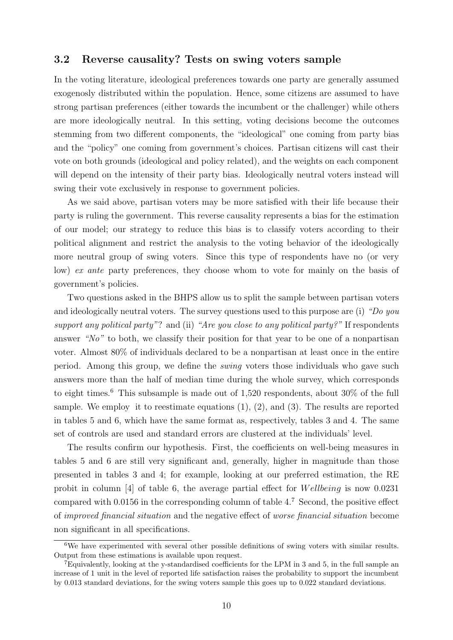#### 3.2 Reverse causality? Tests on swing voters sample

In the voting literature, ideological preferences towards one party are generally assumed exogenosly distributed within the population. Hence, some citizens are assumed to have strong partisan preferences (either towards the incumbent or the challenger) while others are more ideologically neutral. In this setting, voting decisions become the outcomes stemming from two different components, the "ideological" one coming from party bias and the "policy" one coming from government's choices. Partisan citizens will cast their vote on both grounds (ideological and policy related), and the weights on each component will depend on the intensity of their party bias. Ideologically neutral voters instead will swing their vote exclusively in response to government policies.

As we said above, partisan voters may be more satisfied with their life because their party is ruling the government. This reverse causality represents a bias for the estimation of our model; our strategy to reduce this bias is to classify voters according to their political alignment and restrict the analysis to the voting behavior of the ideologically more neutral group of swing voters. Since this type of respondents have no (or very low) ex ante party preferences, they choose whom to vote for mainly on the basis of government's policies.

Two questions asked in the BHPS allow us to split the sample between partisan voters and ideologically neutral voters. The survey questions used to this purpose are (i) "Do you support any political party"? and (ii) "Are you close to any political party?" If respondents answer "No" to both, we classify their position for that year to be one of a nonpartisan voter. Almost 80% of individuals declared to be a nonpartisan at least once in the entire period. Among this group, we define the swing voters those individuals who gave such answers more than the half of median time during the whole survey, which corresponds to eight times.<sup>6</sup> This subsample is made out of  $1,520$  respondents, about  $30\%$  of the full sample. We employ it to reestimate equations  $(1)$ ,  $(2)$ , and  $(3)$ . The results are reported in tables 5 and 6, which have the same format as, respectively, tables 3 and 4. The same set of controls are used and standard errors are clustered at the individuals' level.

The results confirm our hypothesis. First, the coefficients on well-being measures in tables 5 and 6 are still very significant and, generally, higher in magnitude than those presented in tables 3 and 4; for example, looking at our preferred estimation, the RE probit in column [4] of table 6, the average partial effect for  $Wellbeing$  is now 0.0231 compared with 0.0156 in the corresponding column of table 4.<sup>7</sup> Second, the positive effect of improved financial situation and the negative effect of worse financial situation become non significant in all specifications.

<sup>6</sup>We have experimented with several other possible definitions of swing voters with similar results. Output from these estimations is available upon request.

<sup>7</sup>Equivalently, looking at the y-standardised coefficients for the LPM in 3 and 5, in the full sample an increase of 1 unit in the level of reported life satisfaction raises the probability to support the incumbent by 0.013 standard deviations, for the swing voters sample this goes up to 0.022 standard deviations.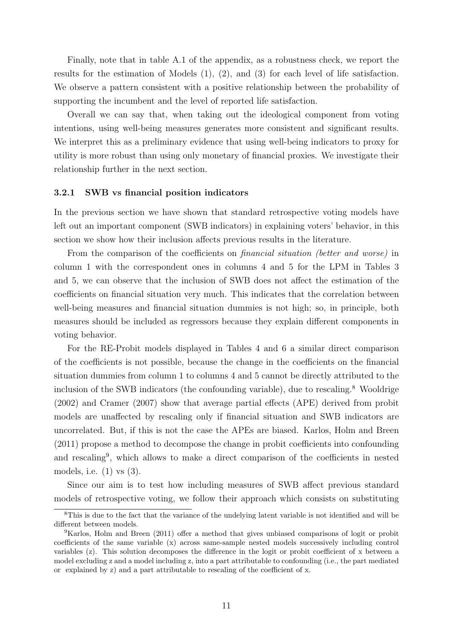Finally, note that in table A.1 of the appendix, as a robustness check, we report the results for the estimation of Models (1), (2), and (3) for each level of life satisfaction. We observe a pattern consistent with a positive relationship between the probability of supporting the incumbent and the level of reported life satisfaction.

Overall we can say that, when taking out the ideological component from voting intentions, using well-being measures generates more consistent and significant results. We interpret this as a preliminary evidence that using well-being indicators to proxy for utility is more robust than using only monetary of financial proxies. We investigate their relationship further in the next section.

#### 3.2.1 SWB vs financial position indicators

In the previous section we have shown that standard retrospective voting models have left out an important component (SWB indicators) in explaining voters' behavior, in this section we show how their inclusion affects previous results in the literature.

From the comparison of the coefficients on *financial situation* (better and worse) in column 1 with the correspondent ones in columns 4 and 5 for the LPM in Tables 3 and 5, we can observe that the inclusion of SWB does not affect the estimation of the coefficients on financial situation very much. This indicates that the correlation between well-being measures and financial situation dummies is not high; so, in principle, both measures should be included as regressors because they explain different components in voting behavior.

For the RE-Probit models displayed in Tables 4 and 6 a similar direct comparison of the coefficients is not possible, because the change in the coefficients on the financial situation dummies from column 1 to columns 4 and 5 cannot be directly attributed to the inclusion of the SWB indicators (the confounding variable), due to rescaling.<sup>8</sup> Wooldrige (2002) and Cramer (2007) show that average partial effects (APE) derived from probit models are unaffected by rescaling only if financial situation and SWB indicators are uncorrelated. But, if this is not the case the APEs are biased. Karlos, Holm and Breen (2011) propose a method to decompose the change in probit coefficients into confounding and rescaling<sup>9</sup> , which allows to make a direct comparison of the coefficients in nested models, i.e. (1) vs (3).

Since our aim is to test how including measures of SWB affect previous standard models of retrospective voting, we follow their approach which consists on substituting

<sup>8</sup>This is due to the fact that the variance of the undelying latent variable is not identified and will be different between models.

<sup>9</sup>Karlos, Holm and Breen (2011) offer a method that gives unbiased comparisons of logit or probit coefficients of the same variable (x) across same-sample nested models successively including control variables (z). This solution decomposes the difference in the logit or probit coefficient of x between a model excluding z and a model including z, into a part attributable to confounding (i.e., the part mediated or explained by z) and a part attributable to rescaling of the coefficient of x.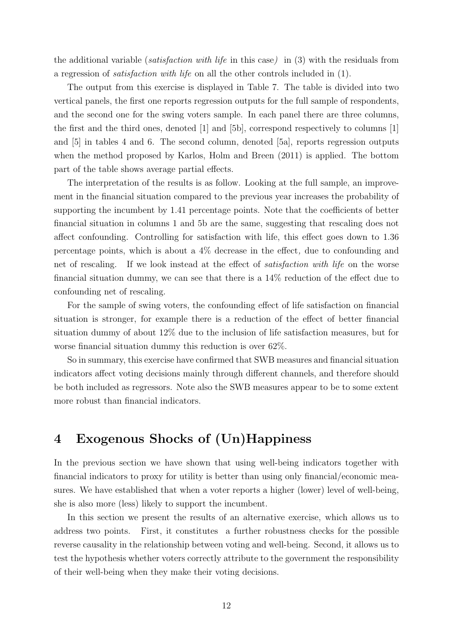the additional variable (satisfaction with life in this case) in (3) with the residuals from a regression of satisfaction with life on all the other controls included in (1).

The output from this exercise is displayed in Table 7. The table is divided into two vertical panels, the first one reports regression outputs for the full sample of respondents, and the second one for the swing voters sample. In each panel there are three columns, the first and the third ones, denoted [1] and [5b], correspond respectively to columns [1] and [5] in tables 4 and 6. The second column, denoted [5a], reports regression outputs when the method proposed by Karlos, Holm and Breen (2011) is applied. The bottom part of the table shows average partial effects.

The interpretation of the results is as follow. Looking at the full sample, an improvement in the financial situation compared to the previous year increases the probability of supporting the incumbent by 1.41 percentage points. Note that the coefficients of better financial situation in columns 1 and 5b are the same, suggesting that rescaling does not affect confounding. Controlling for satisfaction with life, this effect goes down to 1.36 percentage points, which is about a 4% decrease in the effect, due to confounding and net of rescaling. If we look instead at the effect of satisfaction with life on the worse financial situation dummy, we can see that there is a 14% reduction of the effect due to confounding net of rescaling.

For the sample of swing voters, the confounding effect of life satisfaction on financial situation is stronger, for example there is a reduction of the effect of better financial situation dummy of about 12% due to the inclusion of life satisfaction measures, but for worse financial situation dummy this reduction is over 62%.

So in summary, this exercise have confirmed that SWB measures and financial situation indicators affect voting decisions mainly through different channels, and therefore should be both included as regressors. Note also the SWB measures appear to be to some extent more robust than financial indicators.

## 4 Exogenous Shocks of (Un)Happiness

In the previous section we have shown that using well-being indicators together with financial indicators to proxy for utility is better than using only financial/economic measures. We have established that when a voter reports a higher (lower) level of well-being, she is also more (less) likely to support the incumbent.

In this section we present the results of an alternative exercise, which allows us to address two points. First, it constitutes a further robustness checks for the possible reverse causality in the relationship between voting and well-being. Second, it allows us to test the hypothesis whether voters correctly attribute to the government the responsibility of their well-being when they make their voting decisions.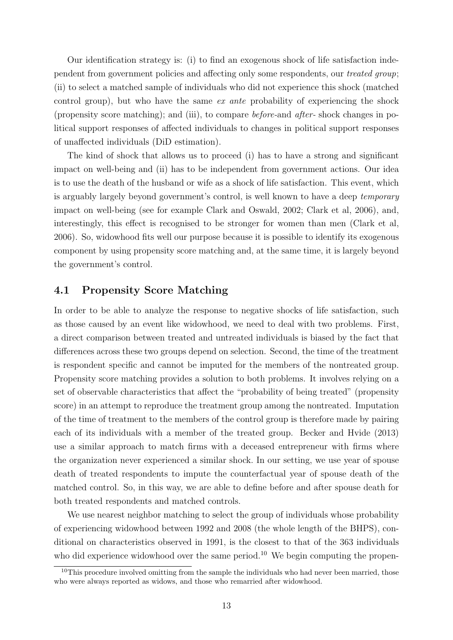Our identification strategy is: (i) to find an exogenous shock of life satisfaction independent from government policies and affecting only some respondents, our treated group; (ii) to select a matched sample of individuals who did not experience this shock (matched control group), but who have the same ex ante probability of experiencing the shock (propensity score matching); and (iii), to compare before-and after- shock changes in political support responses of affected individuals to changes in political support responses of unaffected individuals (DiD estimation).

The kind of shock that allows us to proceed (i) has to have a strong and significant impact on well-being and (ii) has to be independent from government actions. Our idea is to use the death of the husband or wife as a shock of life satisfaction. This event, which is arguably largely beyond government's control, is well known to have a deep temporary impact on well-being (see for example Clark and Oswald, 2002; Clark et al, 2006), and, interestingly, this effect is recognised to be stronger for women than men (Clark et al, 2006). So, widowhood fits well our purpose because it is possible to identify its exogenous component by using propensity score matching and, at the same time, it is largely beyond the government's control.

#### 4.1 Propensity Score Matching

In order to be able to analyze the response to negative shocks of life satisfaction, such as those caused by an event like widowhood, we need to deal with two problems. First, a direct comparison between treated and untreated individuals is biased by the fact that differences across these two groups depend on selection. Second, the time of the treatment is respondent specific and cannot be imputed for the members of the nontreated group. Propensity score matching provides a solution to both problems. It involves relying on a set of observable characteristics that affect the "probability of being treated" (propensity score) in an attempt to reproduce the treatment group among the nontreated. Imputation of the time of treatment to the members of the control group is therefore made by pairing each of its individuals with a member of the treated group. Becker and Hvide (2013) use a similar approach to match firms with a deceased entrepreneur with firms where the organization never experienced a similar shock. In our setting, we use year of spouse death of treated respondents to impute the counterfactual year of spouse death of the matched control. So, in this way, we are able to define before and after spouse death for both treated respondents and matched controls.

We use nearest neighbor matching to select the group of individuals whose probability of experiencing widowhood between 1992 and 2008 (the whole length of the BHPS), conditional on characteristics observed in 1991, is the closest to that of the 363 individuals who did experience widowhood over the same period.<sup>10</sup> We begin computing the propen-

 $10$ This procedure involved omitting from the sample the individuals who had never been married, those who were always reported as widows, and those who remarried after widowhood.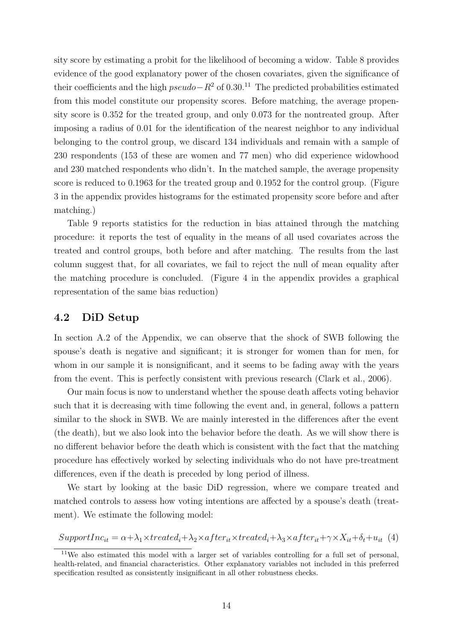sity score by estimating a probit for the likelihood of becoming a widow. Table 8 provides evidence of the good explanatory power of the chosen covariates, given the significance of their coefficients and the high  $pseudo-R^2$  of 0.30.<sup>11</sup> The predicted probabilities estimated from this model constitute our propensity scores. Before matching, the average propensity score is 0.352 for the treated group, and only 0.073 for the nontreated group. After imposing a radius of 0.01 for the identification of the nearest neighbor to any individual belonging to the control group, we discard 134 individuals and remain with a sample of 230 respondents (153 of these are women and 77 men) who did experience widowhood and 230 matched respondents who didn't. In the matched sample, the average propensity score is reduced to 0.1963 for the treated group and 0.1952 for the control group. (Figure 3 in the appendix provides histograms for the estimated propensity score before and after matching.)

Table 9 reports statistics for the reduction in bias attained through the matching procedure: it reports the test of equality in the means of all used covariates across the treated and control groups, both before and after matching. The results from the last column suggest that, for all covariates, we fail to reject the null of mean equality after the matching procedure is concluded. (Figure 4 in the appendix provides a graphical representation of the same bias reduction)

#### 4.2 DiD Setup

In section A.2 of the Appendix, we can observe that the shock of SWB following the spouse's death is negative and significant; it is stronger for women than for men, for whom in our sample it is nonsignificant, and it seems to be fading away with the years from the event. This is perfectly consistent with previous research (Clark et al., 2006).

Our main focus is now to understand whether the spouse death affects voting behavior such that it is decreasing with time following the event and, in general, follows a pattern similar to the shock in SWB. We are mainly interested in the differences after the event (the death), but we also look into the behavior before the death. As we will show there is no different behavior before the death which is consistent with the fact that the matching procedure has effectively worked by selecting individuals who do not have pre-treatment differences, even if the death is preceded by long period of illness.

We start by looking at the basic DiD regression, where we compare treated and matched controls to assess how voting intentions are affected by a spouse's death (treatment). We estimate the following model:

 $SupportInc_{it} = \alpha + \lambda_1 \times treated_i + \lambda_2 \times after_{it} \times treated_i + \lambda_3 \times after_{it} + \gamma \times X_{it} + \delta_t + u_{it}$  (4)

<sup>&</sup>lt;sup>11</sup>We also estimated this model with a larger set of variables controlling for a full set of personal, health-related, and financial characteristics. Other explanatory variables not included in this preferred specification resulted as consistently insignificant in all other robustness checks.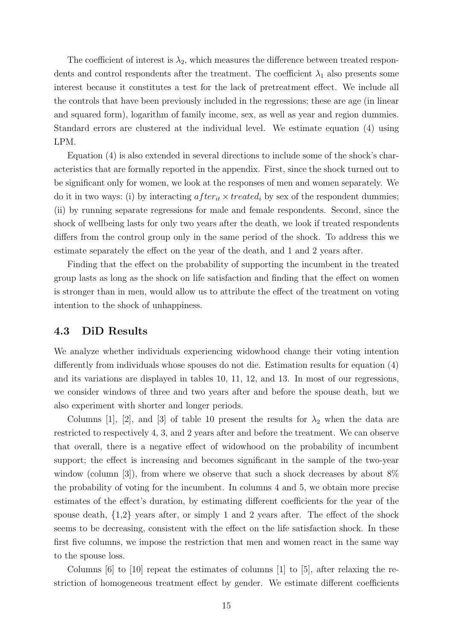The coefficient of interest is  $\lambda_2$ , which measures the difference between treated respondents and control respondents after the treatment. The coefficient  $\lambda_1$  also presents some interest because it constitutes a test for the lack of pretreatment effect. We include all the controls that have been previously included in the regressions; these are age (in linear and squared form), logarithm of family income, sex, as well as year and region dummies. Standard errors are clustered at the individual level. We estimate equation (4) using LPM.

Equation (4) is also extended in several directions to include some of the shock's characteristics that are formally reported in the appendix. First, since the shock turned out to be significant only for women, we look at the responses of men and women separately. We do it in two ways: (i) by interacting  $after_{it} \times treated_i$  by sex of the respondent dummies; (ii) by running separate regressions for male and female respondents. Second, since the shock of wellbeing lasts for only two years after the death, we look if treated respondents differs from the control group only in the same period of the shock. To address this we estimate separately the effect on the year of the death, and 1 and 2 years after.

Finding that the effect on the probability of supporting the incumbent in the treated group lasts as long as the shock on life satisfaction and finding that the effect on women is stronger than in men, would allow us to attribute the effect of the treatment on voting intention to the shock of unhappiness.

#### 4.3 DiD Results

We analyze whether individuals experiencing widowhood change their voting intention differently from individuals whose spouses do not die. Estimation results for equation (4) and its variations are displayed in tables 10, 11, 12, and 13. In most of our regressions, we consider windows of three and two years after and before the spouse death, but we also experiment with shorter and longer periods.

Columns [1], [2], and [3] of table 10 present the results for  $\lambda_2$  when the data are restricted to respectively 4, 3, and 2 years after and before the treatment. We can observe that overall, there is a negative effect of widowhood on the probability of incumbent support; the effect is increasing and becomes significant in the sample of the two-year window (column [3]), from where we observe that such a shock decreases by about  $8\%$ the probability of voting for the incumbent. In columns 4 and 5, we obtain more precise estimates of the effect's duration, by estimating different coefficients for the year of the spouse death, {1,2} years after, or simply 1 and 2 years after. The effect of the shock seems to be decreasing, consistent with the effect on the life satisfaction shock. In these first five columns, we impose the restriction that men and women react in the same way to the spouse loss.

Columns  $[6]$  to  $[10]$  repeat the estimates of columns  $[1]$  to  $[5]$ , after relaxing the restriction of homogeneous treatment effect by gender. We estimate different coefficients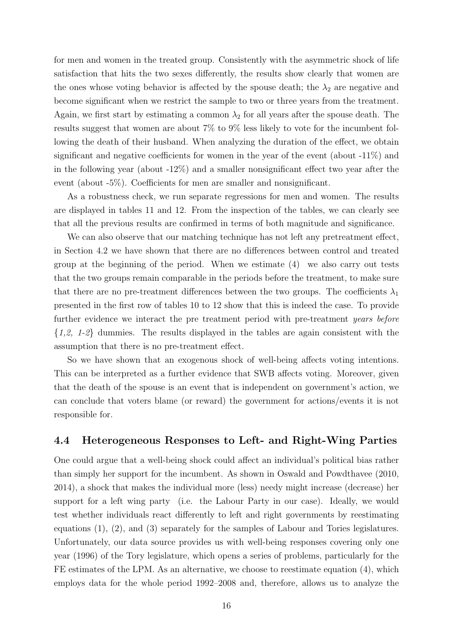for men and women in the treated group. Consistently with the asymmetric shock of life satisfaction that hits the two sexes differently, the results show clearly that women are the ones whose voting behavior is affected by the spouse death; the  $\lambda_2$  are negative and become significant when we restrict the sample to two or three years from the treatment. Again, we first start by estimating a common  $\lambda_2$  for all years after the spouse death. The results suggest that women are about 7% to 9% less likely to vote for the incumbent following the death of their husband. When analyzing the duration of the effect, we obtain significant and negative coefficients for women in the year of the event (about -11%) and in the following year (about -12%) and a smaller nonsignificant effect two year after the event (about -5%). Coefficients for men are smaller and nonsignificant.

As a robustness check, we run separate regressions for men and women. The results are displayed in tables 11 and 12. From the inspection of the tables, we can clearly see that all the previous results are confirmed in terms of both magnitude and significance.

We can also observe that our matching technique has not left any pretreatment effect, in Section 4.2 we have shown that there are no differences between control and treated group at the beginning of the period. When we estimate (4) we also carry out tests that the two groups remain comparable in the periods before the treatment, to make sure that there are no pre-treatment differences between the two groups. The coefficients  $\lambda_1$ presented in the first row of tables 10 to 12 show that this is indeed the case. To provide further evidence we interact the pre treatment period with pre-treatment *years before*  $\{1,2, 1-2\}$  dummies. The results displayed in the tables are again consistent with the assumption that there is no pre-treatment effect.

So we have shown that an exogenous shock of well-being affects voting intentions. This can be interpreted as a further evidence that SWB affects voting. Moreover, given that the death of the spouse is an event that is independent on government's action, we can conclude that voters blame (or reward) the government for actions/events it is not responsible for.

#### 4.4 Heterogeneous Responses to Left- and Right-Wing Parties

One could argue that a well-being shock could affect an individual's political bias rather than simply her support for the incumbent. As shown in Oswald and Powdthavee (2010, 2014), a shock that makes the individual more (less) needy might increase (decrease) her support for a left wing party (i.e. the Labour Party in our case). Ideally, we would test whether individuals react differently to left and right governments by reestimating equations (1), (2), and (3) separately for the samples of Labour and Tories legislatures. Unfortunately, our data source provides us with well-being responses covering only one year (1996) of the Tory legislature, which opens a series of problems, particularly for the FE estimates of the LPM. As an alternative, we choose to reestimate equation (4), which employs data for the whole period 1992–2008 and, therefore, allows us to analyze the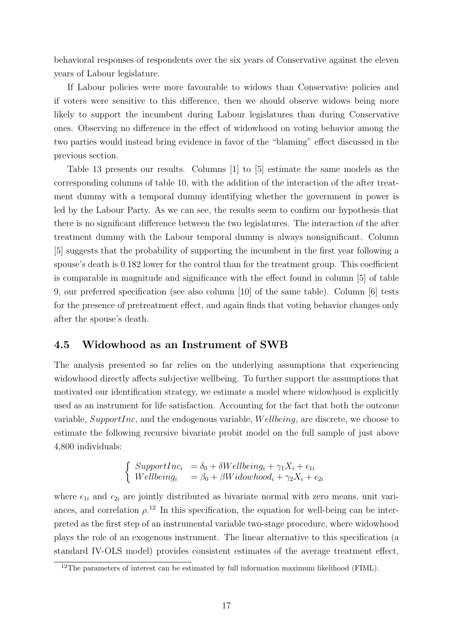behavioral responses of respondents over the six years of Conservative against the eleven years of Labour legislature.

If Labour policies were more favourable to widows than Conservative policies and if voters were sensitive to this difference, then we should observe widows being more likely to support the incumbent during Labour legislatures than during Conservative ones. Observing no difference in the effect of widowhood on voting behavior among the two parties would instead bring evidence in favor of the "blaming" effect discussed in the previous section.

Table 13 presents our results. Columns [1] to [5] estimate the same models as the corresponding columns of table 10, with the addition of the interaction of the after treatment dummy with a temporal dummy identifying whether the government in power is led by the Labour Party. As we can see, the results seem to confirm our hypothesis that there is no significant difference between the two legislatures. The interaction of the after treatment dummy with the Labour temporal dummy is always nonsignificant. Column [5] suggests that the probability of supporting the incumbent in the first year following a spouse's death is 0.182 lower for the control than for the treatment group. This coefficient is comparable in magnitude and significance with the effect found in column [5] of table 9, our preferred specification (see also column [10] of the same table). Column [6] tests for the presence of pretreatment effect, and again finds that voting behavior changes only after the spouse's death.

#### 4.5 Widowhood as an Instrument of SWB

The analysis presented so far relies on the underlying assumptions that experiencing widowhood directly affects subjective wellbeing. To further support the assumptions that motivated our identification strategy, we estimate a model where widowhood is explicitly used as an instrument for life satisfaction. Accounting for the fact that both the outcome variable, SupportInc, and the endogenous variable,  $Wellbeing$ , are discrete, we choose to estimate the following recursive bivariate probit model on the full sample of just above 4,800 individuals:

$$
\begin{cases}\nSupportInc_i = \delta_0 + \delta Wellbeing_i + \gamma_1 X_i + \epsilon_{1i} \\
Wellbeing_i = \beta_0 + \beta Widowhood_i + \gamma_2 X_i + \epsilon_{2i}\n\end{cases}
$$

where  $\epsilon_{1i}$  and  $\epsilon_{2i}$  are jointly distributed as bivariate normal with zero means, unit variances, and correlation  $\rho^{12}$ . In this specification, the equation for well-being can be interpreted as the first step of an instrumental variable two-stage procedure, where widowhood plays the role of an exogenous instrument. The linear alternative to this specification (a standard IV-OLS model) provides consistent estimates of the average treatment effect,

 $12$ The parameters of interest can be estimated by full information maximum likelihood (FIML).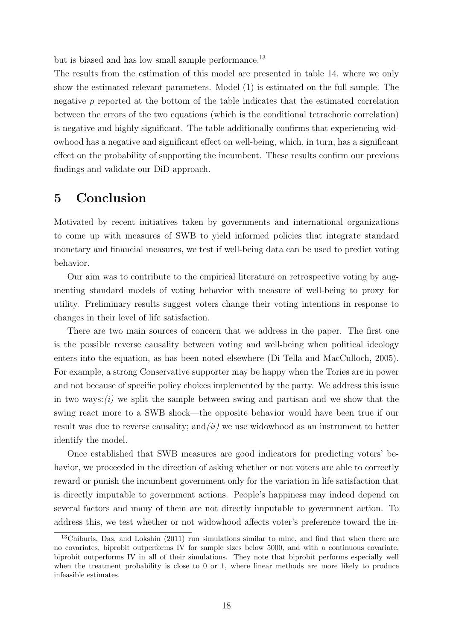but is biased and has low small sample performance.<sup>13</sup>

The results from the estimation of this model are presented in table 14, where we only show the estimated relevant parameters. Model (1) is estimated on the full sample. The negative  $\rho$  reported at the bottom of the table indicates that the estimated correlation between the errors of the two equations (which is the conditional tetrachoric correlation) is negative and highly significant. The table additionally confirms that experiencing widowhood has a negative and significant effect on well-being, which, in turn, has a significant effect on the probability of supporting the incumbent. These results confirm our previous findings and validate our DiD approach.

## 5 Conclusion

Motivated by recent initiatives taken by governments and international organizations to come up with measures of SWB to yield informed policies that integrate standard monetary and financial measures, we test if well-being data can be used to predict voting behavior.

Our aim was to contribute to the empirical literature on retrospective voting by augmenting standard models of voting behavior with measure of well-being to proxy for utility. Preliminary results suggest voters change their voting intentions in response to changes in their level of life satisfaction.

There are two main sources of concern that we address in the paper. The first one is the possible reverse causality between voting and well-being when political ideology enters into the equation, as has been noted elsewhere (Di Tella and MacCulloch, 2005). For example, a strong Conservative supporter may be happy when the Tories are in power and not because of specific policy choices implemented by the party. We address this issue in two ways: $(i)$  we split the sample between swing and partisan and we show that the swing react more to a SWB shock—the opposite behavior would have been true if our result was due to reverse causality; and  $(ii)$  we use widowhood as an instrument to better identify the model.

Once established that SWB measures are good indicators for predicting voters' behavior, we proceeded in the direction of asking whether or not voters are able to correctly reward or punish the incumbent government only for the variation in life satisfaction that is directly imputable to government actions. People's happiness may indeed depend on several factors and many of them are not directly imputable to government action. To address this, we test whether or not widowhood affects voter's preference toward the in-

<sup>13</sup>Chiburis, Das, and Lokshin (2011) run simulations similar to mine, and find that when there are no covariates, biprobit outperforms IV for sample sizes below 5000, and with a continuous covariate, biprobit outperforms IV in all of their simulations. They note that biprobit performs especially well when the treatment probability is close to 0 or 1, where linear methods are more likely to produce infeasible estimates.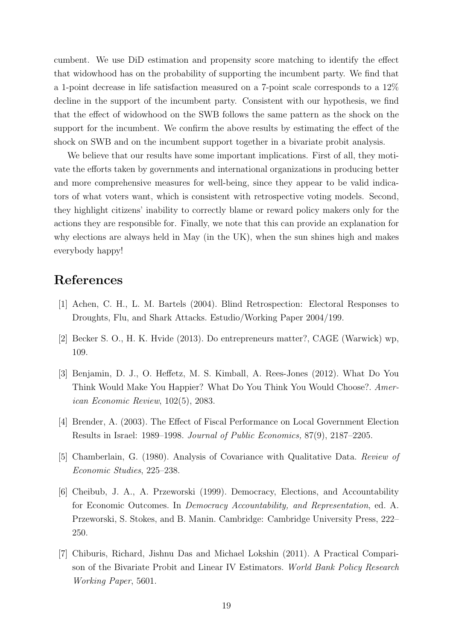cumbent. We use DiD estimation and propensity score matching to identify the effect that widowhood has on the probability of supporting the incumbent party. We find that a 1-point decrease in life satisfaction measured on a 7-point scale corresponds to a 12% decline in the support of the incumbent party. Consistent with our hypothesis, we find that the effect of widowhood on the SWB follows the same pattern as the shock on the support for the incumbent. We confirm the above results by estimating the effect of the shock on SWB and on the incumbent support together in a bivariate probit analysis.

We believe that our results have some important implications. First of all, they motivate the efforts taken by governments and international organizations in producing better and more comprehensive measures for well-being, since they appear to be valid indicators of what voters want, which is consistent with retrospective voting models. Second, they highlight citizens' inability to correctly blame or reward policy makers only for the actions they are responsible for. Finally, we note that this can provide an explanation for why elections are always held in May (in the UK), when the sun shines high and makes everybody happy!

## References

- [1] Achen, C. H., L. M. Bartels (2004). Blind Retrospection: Electoral Responses to Droughts, Flu, and Shark Attacks. Estudio/Working Paper 2004/199.
- [2] Becker S. O., H. K. Hvide (2013). Do entrepreneurs matter?, CAGE (Warwick) wp, 109.
- [3] Benjamin, D. J., O. Heffetz, M. S. Kimball, A. Rees-Jones (2012). What Do You Think Would Make You Happier? What Do You Think You Would Choose?. American Economic Review, 102(5), 2083.
- [4] Brender, A. (2003). The Effect of Fiscal Performance on Local Government Election Results in Israel: 1989–1998. Journal of Public Economics, 87(9), 2187–2205.
- [5] Chamberlain, G. (1980). Analysis of Covariance with Qualitative Data. Review of Economic Studies, 225–238.
- [6] Cheibub, J. A., A. Przeworski (1999). Democracy, Elections, and Accountability for Economic Outcomes. In Democracy Accountability, and Representation, ed. A. Przeworski, S. Stokes, and B. Manin. Cambridge: Cambridge University Press, 222– 250.
- [7] Chiburis, Richard, Jishnu Das and Michael Lokshin (2011). A Practical Comparison of the Bivariate Probit and Linear IV Estimators. World Bank Policy Research Working Paper, 5601.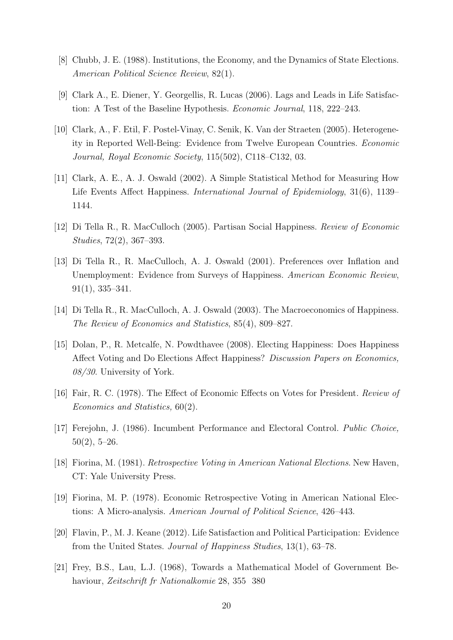- [8] Chubb, J. E. (1988). Institutions, the Economy, and the Dynamics of State Elections. American Political Science Review, 82(1).
- [9] Clark A., E. Diener, Y. Georgellis, R. Lucas (2006). Lags and Leads in Life Satisfaction: A Test of the Baseline Hypothesis. Economic Journal, 118, 222–243.
- [10] Clark, A., F. Etil, F. Postel-Vinay, C. Senik, K. Van der Straeten (2005). Heterogeneity in Reported Well-Being: Evidence from Twelve European Countries. Economic Journal, Royal Economic Society, 115(502), C118–C132, 03.
- [11] Clark, A. E., A. J. Oswald (2002). A Simple Statistical Method for Measuring How Life Events Affect Happiness. International Journal of Epidemiology, 31(6), 1139– 1144.
- [12] Di Tella R., R. MacCulloch (2005). Partisan Social Happiness. Review of Economic Studies, 72(2), 367–393.
- [13] Di Tella R., R. MacCulloch, A. J. Oswald (2001). Preferences over Inflation and Unemployment: Evidence from Surveys of Happiness. American Economic Review, 91(1), 335–341.
- [14] Di Tella R., R. MacCulloch, A. J. Oswald (2003). The Macroeconomics of Happiness. The Review of Economics and Statistics, 85(4), 809–827.
- [15] Dolan, P., R. Metcalfe, N. Powdthavee (2008). Electing Happiness: Does Happiness Affect Voting and Do Elections Affect Happiness? Discussion Papers on Economics, 08/30. University of York.
- [16] Fair, R. C. (1978). The Effect of Economic Effects on Votes for President. Review of Economics and Statistics, 60(2).
- [17] Ferejohn, J. (1986). Incumbent Performance and Electoral Control. Public Choice,  $50(2), 5-26.$
- [18] Fiorina, M. (1981). Retrospective Voting in American National Elections. New Haven, CT: Yale University Press.
- [19] Fiorina, M. P. (1978). Economic Retrospective Voting in American National Elections: A Micro-analysis. American Journal of Political Science, 426–443.
- [20] Flavin, P., M. J. Keane (2012). Life Satisfaction and Political Participation: Evidence from the United States. Journal of Happiness Studies, 13(1), 63–78.
- [21] Frey, B.S., Lau, L.J. (1968), Towards a Mathematical Model of Government Behaviour, Zeitschrift fr Nationalkomie 28, 355 380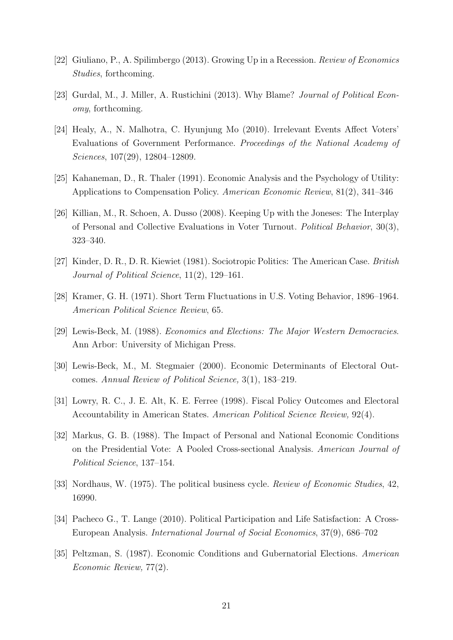- [22] Giuliano, P., A. Spilimbergo (2013). Growing Up in a Recession. Review of Economics Studies, forthcoming.
- [23] Gurdal, M., J. Miller, A. Rustichini (2013). Why Blame? Journal of Political Economy, forthcoming.
- [24] Healy, A., N. Malhotra, C. Hyunjung Mo (2010). Irrelevant Events Affect Voters' Evaluations of Government Performance. Proceedings of the National Academy of Sciences, 107(29), 12804–12809.
- [25] Kahaneman, D., R. Thaler (1991). Economic Analysis and the Psychology of Utility: Applications to Compensation Policy. American Economic Review, 81(2), 341–346
- [26] Killian, M., R. Schoen, A. Dusso (2008). Keeping Up with the Joneses: The Interplay of Personal and Collective Evaluations in Voter Turnout. Political Behavior, 30(3), 323–340.
- [27] Kinder, D. R., D. R. Kiewiet (1981). Sociotropic Politics: The American Case. British Journal of Political Science, 11(2), 129–161.
- [28] Kramer, G. H. (1971). Short Term Fluctuations in U.S. Voting Behavior, 1896–1964. American Political Science Review, 65.
- [29] Lewis-Beck, M. (1988). Economics and Elections: The Major Western Democracies. Ann Arbor: University of Michigan Press.
- [30] Lewis-Beck, M., M. Stegmaier (2000). Economic Determinants of Electoral Outcomes. Annual Review of Political Science, 3(1), 183–219.
- [31] Lowry, R. C., J. E. Alt, K. E. Ferree (1998). Fiscal Policy Outcomes and Electoral Accountability in American States. American Political Science Review, 92(4).
- [32] Markus, G. B. (1988). The Impact of Personal and National Economic Conditions on the Presidential Vote: A Pooled Cross-sectional Analysis. American Journal of Political Science, 137–154.
- [33] Nordhaus, W. (1975). The political business cycle. Review of Economic Studies, 42, 16990.
- [34] Pacheco G., T. Lange (2010). Political Participation and Life Satisfaction: A Cross-European Analysis. International Journal of Social Economics, 37(9), 686–702
- [35] Peltzman, S. (1987). Economic Conditions and Gubernatorial Elections. American Economic Review, 77(2).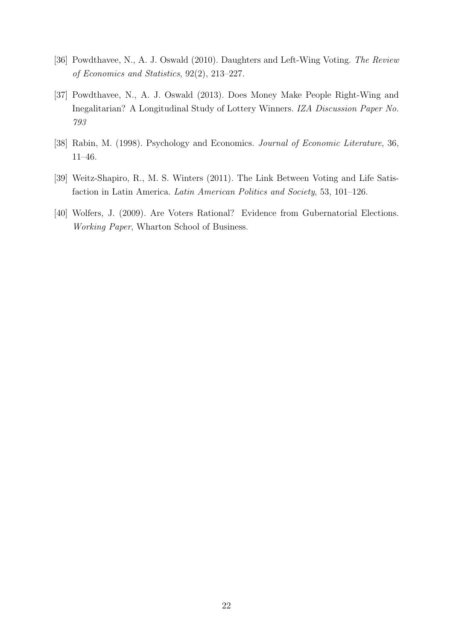- [36] Powdthavee, N., A. J. Oswald (2010). Daughters and Left-Wing Voting. The Review of Economics and Statistics, 92(2), 213–227.
- [37] Powdthavee, N., A. J. Oswald (2013). Does Money Make People Right-Wing and Inegalitarian? A Longitudinal Study of Lottery Winners. IZA Discussion Paper No. 793
- [38] Rabin, M. (1998). Psychology and Economics. Journal of Economic Literature, 36, 11–46.
- [39] Weitz-Shapiro, R., M. S. Winters (2011). The Link Between Voting and Life Satisfaction in Latin America. Latin American Politics and Society, 53, 101–126.
- [40] Wolfers, J. (2009). Are Voters Rational? Evidence from Gubernatorial Elections. Working Paper, Wharton School of Business.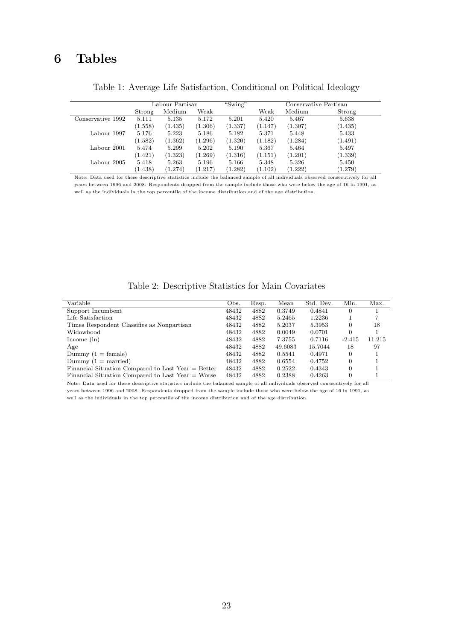## 6 Tables

|                   |         | Labour Partisan |         | "Swing" |         |         | Conservative Partisan |
|-------------------|---------|-----------------|---------|---------|---------|---------|-----------------------|
|                   | Strong  | Medium          | Weak    |         | Weak    | Medium  | Strong                |
| Conservative 1992 | 5.111   | 5.135           | 5.172   | 5.201   | 5.420   | 5.467   | 5.638                 |
|                   | (1.558) | (1.435)         | (1.306) | (1.337) | (1.147) | (1.307) | (1.435)               |
| Labour 1997       | 5.176   | 5.223           | 5.186   | 5.182   | 5.371   | 5.448   | 5.433                 |
|                   | (1.582) | (1.362)         | (1.296) | (1.320) | (1.182) | (1.284) | (1.491)               |
| Labour 2001       | 5.474   | 5.299           | 5.202   | 5.190   | 5.367   | 5.464   | 5.497                 |
|                   | (1.421) | (1.323)         | (1.269) | (1.316) | (1.151) | (1.201) | (1.339)               |
| Labour 2005       | 5.418   | 5.263           | 5.196   | 5.166   | 5.348   | 5.326   | 5.450                 |
|                   | (1.438) | (1.274)         | (1.217) | (1.282) | (1.102) | (1.222) | (1.279)               |

Table 1: Average Life Satisfaction, Conditional on Political Ideology

Note: Data used for these descriptive statistics include the balanced sample of all individuals observed consecutively for all years between 1996 and 2008. Respondents dropped from the sample include those who were below the age of 16 in 1991, as well as the individuals in the top percentile of the income distribution and of the age distribution.

Table 2: Descriptive Statistics for Main Covariates

| Variable                                            | Obs.  | Resp. | Mean    | Std. Dev. | Min.     | Max.   |
|-----------------------------------------------------|-------|-------|---------|-----------|----------|--------|
| Support Incumbent                                   | 48432 | 4882  | 0.3749  | 0.4841    | $\Omega$ |        |
| Life Satisfaction                                   | 48432 | 4882  | 5.2465  | 1.2236    |          |        |
| Times Respondent Classifies as Nonpartisan          | 48432 | 4882  | 5.2037  | 5.3953    | $\Omega$ | 18     |
| Widowhood                                           | 48432 | 4882  | 0.0049  | 0.0701    | $\Omega$ |        |
| Income $(\ln)$                                      | 48432 | 4882  | 7.3755  | 0.7116    | $-2.415$ | 11.215 |
| Age                                                 | 48432 | 4882  | 49.6083 | 15.7044   | 18       | 97     |
| Dummy $(1 = \text{female})$                         | 48432 | 4882  | 0.5541  | 0.4971    | $\Omega$ |        |
| Dummy $(1 =$ married)                               | 48432 | 4882  | 0.6554  | 0.4752    | $\Omega$ |        |
| Financial Situation Compared to Last Year = Better  | 48432 | 4882  | 0.2522  | 0.4343    | $\Omega$ |        |
| Financial Situation Compared to Last Year $=$ Worse | 48432 | 4882  | 0.2388  | 0.4263    | $\Omega$ |        |

Note: Data used for these descriptive statistics include the balanced sample of all individuals observed consecutively for all years between 1996 and 2008. Respondents dropped from the sample include those who were below the age of 16 in 1991, as well as the individuals in the top percentile of the income distribution and of the age distribution.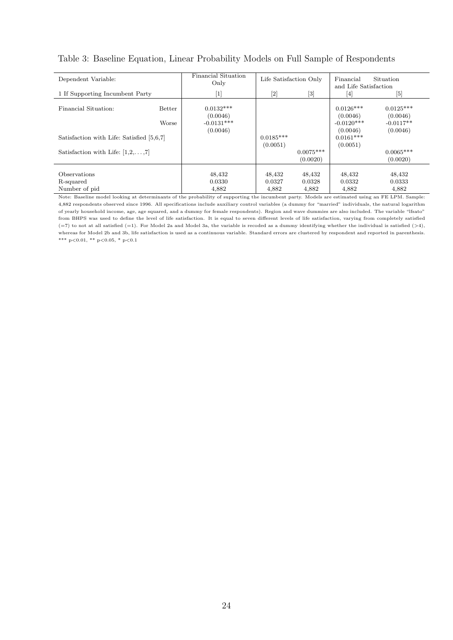| Dependent Variable:                       |        | Financial Situation | Life Satisfaction Only |             | Financial             | Situation   |
|-------------------------------------------|--------|---------------------|------------------------|-------------|-----------------------|-------------|
|                                           |        | Only                |                        |             |                       |             |
|                                           |        |                     |                        |             | and Life Satisfaction |             |
| 1 If Supporting Incumbent Party           |        | [1]                 | $[2]$                  | [3]         | 4                     | $[5]$       |
|                                           |        |                     |                        |             |                       |             |
| Financial Situation:                      | Better | $0.0132***$         |                        |             | $0.0126***$           | $0.0125***$ |
|                                           |        | (0.0046)            |                        |             | (0.0046)              | (0.0046)    |
|                                           | Worse  | $-0.0131***$        |                        |             | $-0.0120***$          | $-0.0117**$ |
|                                           |        | (0.0046)            |                        |             | (0.0046)              | (0.0046)    |
| Satisfaction with Life: Satisfied [5,6,7] |        |                     | $0.0185***$            |             | $0.0161***$           |             |
|                                           |        |                     | (0.0051)               |             | (0.0051)              |             |
| Satisfaction with Life: $[1,2,\ldots,7]$  |        |                     |                        | $0.0075***$ |                       | $0.0065***$ |
|                                           |        |                     |                        | (0.0020)    |                       | (0.0020)    |
|                                           |        |                     |                        |             |                       |             |
| <b>Observations</b>                       |        | 48,432              | 48,432                 | 48,432      | 48,432                | 48,432      |
| R-squared                                 |        | 0.0330              | 0.0327                 | 0.0328      | 0.0332                | 0.0333      |
| Number of pid                             |        | 4,882               | 4,882                  | 4,882       | 4,882                 | 4,882       |

#### Table 3: Baseline Equation, Linear Probability Models on Full Sample of Respondents

Note: Baseline model looking at determinants of the probability of supporting the incumbent party. Models are estimated using an FE LPM. Sample: 4,882 respondents observed since 1996. All specifications include auxiliary control variables (a dummy for "married" individuals, the natural logarithm of yearly household income, age, age squared, and a dummy for female respondents). Region and wave dummies are also included. The variable "lfsato" from BHPS was used to define the level of life satisfaction. It is equal to seven different levels of life satisfaction, varying from completely satisfied  $(=7)$  to not at all satisfied  $(=1)$ . For Model 2a and Model 3a, the variable is recoded as a dummy identifying whether the individual is satisfied  $(>4)$ , whereas for Model 2b and 3b, life satisfaction is used as a continuous variable. Standard errors are clustered by respondent and reported in parenthesis. \*\*\* p<0.01, \*\* p<0.05, \* p<0.1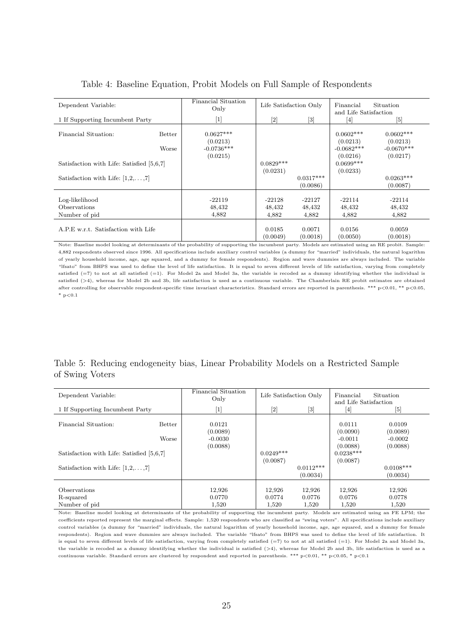| Dependent Variable:                             |                        | Financial Situation<br>Only                         | Life Satisfaction Only      |                             | Financial<br>and Life Satisfaction                  | Situation                                           |
|-------------------------------------------------|------------------------|-----------------------------------------------------|-----------------------------|-----------------------------|-----------------------------------------------------|-----------------------------------------------------|
| 1 If Supporting Incumbent Party                 |                        | $[1]$                                               | $[2]$                       | [3]                         | $\vert 4 \vert$                                     | $\lceil 5 \rceil$                                   |
| Financial Situation:                            | <b>Better</b><br>Worse | $0.0627***$<br>(0.0213)<br>$-0.0736***$<br>(0.0215) |                             |                             | $0.0602***$<br>(0.0213)<br>$-0.0682***$<br>(0.0216) | $0.0602***$<br>(0.0213)<br>$-0.0670***$<br>(0.0217) |
| Satisfaction with Life: Satisfied [5,6,7]       |                        |                                                     | $0.0829***$                 |                             | $0.0699***$                                         |                                                     |
| Satisfaction with Life: $[1,2,\ldots,7]$        |                        |                                                     | (0.0231)                    | $0.0317***$<br>(0.0086)     | (0.0233)                                            | $0.0263***$<br>(0.0087)                             |
| Log-likelihood<br>Observations<br>Number of pid |                        | $-22119$<br>48,432<br>4,882                         | $-22128$<br>48,432<br>4,882 | $-22127$<br>48,432<br>4,882 | $-22114$<br>48,432<br>4,882                         | $-22114$<br>48,432<br>4,882                         |
| A.P.E w.r.t. Satisfaction with Life             |                        |                                                     | 0.0185<br>(0.0049)          | 0.0071<br>(0.0018)          | 0.0156<br>(0.0050)                                  | 0.0059<br>(0.0018)                                  |

#### Table 4: Baseline Equation, Probit Models on Full Sample of Respondents

Note: Baseline model looking at determinants of the probability of supporting the incumbent party. Models are estimated using an RE probit. Sample: 4,882 respondents observed since 1996. All specifications include auxiliary control variables (a dummy for "married" individuals, the natural logarithm of yearly household income, age, age squared, and a dummy for female respondents). Region and wave dummies are always included. The variable "lfsato" from BHPS was used to define the level of life satisfaction. It is equal to seven different levels of life satisfaction, varying from completely satisfied  $(=7)$  to not at all satisfied  $(=1)$ . For Model 2a and Model 3a, the variable is recoded as a dummy identifying whether the individual is satisfied  $(24)$ , whereas for Model 2b and 3b, life satisfaction is used as a continuous variable. The Chamberlain RE probit estimates are obtained after controlling for observable respondent-specific time invariant characteristics. Standard errors are reported in parenthesis. \*\*\* p<0.01, \*\* p<0.05,  $*$  p<0.1

#### Table 5: Reducing endogeneity bias, Linear Probability Models on a Restricted Sample of Swing Voters

| Dependent Variable:                        |                 | Financial Situation<br>Only                 | Life Satisfaction Only    |                           | Financial<br>and Life Satisfaction          | Situation                                   |
|--------------------------------------------|-----------------|---------------------------------------------|---------------------------|---------------------------|---------------------------------------------|---------------------------------------------|
| 1 If Supporting Incumbent Party            |                 | $[1]$                                       | $[2]$                     | $[3]$                     | $\lceil 4 \rceil$                           | $[5]$                                       |
| Financial Situation:                       | Better<br>Worse | 0.0121<br>(0.0089)<br>$-0.0030$<br>(0.0088) |                           |                           | 0.0111<br>(0.0090)<br>$-0.0011$<br>(0.0088) | 0.0109<br>(0.0089)<br>$-0.0002$<br>(0.0088) |
| Satisfaction with Life: Satisfied [5,6,7]  |                 |                                             | $0.0249***$<br>(0.0087)   |                           | $0.0238***$<br>(0.0087)                     |                                             |
| Satisfaction with Life: $[1,2,\ldots,7]$   |                 |                                             |                           | $0.0112***$<br>(0.0034)   |                                             | $0.0108***$<br>(0.0034)                     |
| Observations<br>R-squared<br>Number of pid |                 | 12,926<br>0.0770<br>1,520                   | 12,926<br>0.0774<br>1,520 | 12,926<br>0.0776<br>1,520 | 12,926<br>0.0776<br>1,520                   | 12,926<br>0.0778<br>1,520                   |

Note: Baseline model looking at determinants of the probability of supporting the incumbent party. Models are estimated using an FE LPM; the coefficients reported represent the marginal effects. Sample: 1,520 respondents who are classified as "swing voters". All specifications include auxiliary control variables (a dummy for "married" individuals, the natural logarithm of yearly household income, age, age squared, and a dummy for female respondents). Region and wave dummies are always included. The variable "lfsato" from BHPS was used to define the level of life satisfaction. It is equal to seven different levels of life satisfaction, varying from completely satisfied (=7) to not at all satisfied (=1). For Model 2a and Model 3a, the variable is recoded as a dummy identifying whether the individual is satisfied  $(>\,4)$ , whereas for Model 2b and 3b, life satisfaction is used as a continuous variable. Standard errors are clustered by respondent and reported in parenthesis. \*\*\* p<0.01, \*\* p<0.05, \* p<0.1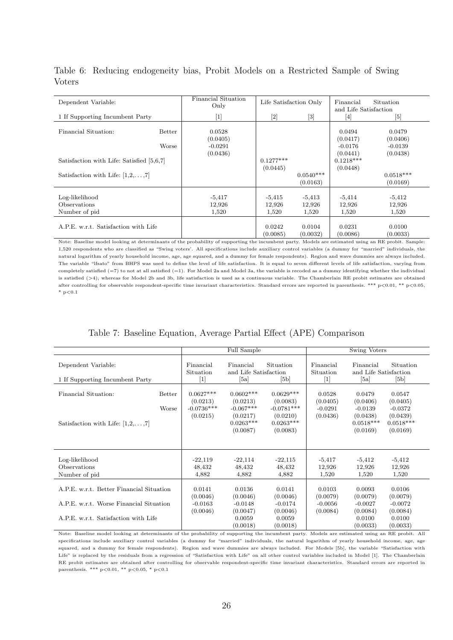| Dependent Variable:                                               |                 | Financial Situation<br>Only                                                                                                                                                                                                                       |                             | Life Satisfaction Only      | Financial<br>and Life Satisfaction                         | Situation                                   |
|-------------------------------------------------------------------|-----------------|---------------------------------------------------------------------------------------------------------------------------------------------------------------------------------------------------------------------------------------------------|-----------------------------|-----------------------------|------------------------------------------------------------|---------------------------------------------|
| 1 If Supporting Incumbent Party                                   |                 | $[1] % \includegraphics[width=0.9\columnwidth]{figures/fig_10.pdf} \caption{The figure shows the number of times, and the number of times, and the number of times, and the number of times, are indicated with the same time.} \label{fig:time}$ | $[2]$                       | [3]                         | $\lceil 4 \rceil$                                          | $[5]$                                       |
| Financial Situation:<br>Satisfaction with Life: Satisfied [5,6,7] | Better<br>Worse | 0.0528<br>(0.0405)<br>$-0.0291$<br>(0.0436)                                                                                                                                                                                                       | $0.1277***$                 |                             | 0.0494<br>(0.0417)<br>$-0.0176$<br>(0.0441)<br>$0.1218***$ | 0.0479<br>(0.0406)<br>$-0.0139$<br>(0.0438) |
| Satisfaction with Life: $[1,2,\ldots,7]$                          |                 |                                                                                                                                                                                                                                                   | (0.0445)                    | $0.0540***$<br>(0.0163)     | (0.0448)                                                   | $0.0518***$<br>(0.0169)                     |
| Log-likelihood<br>Observations<br>Number of pid                   |                 | $-5,417$<br>12,926<br>1,520                                                                                                                                                                                                                       | $-5,415$<br>12,926<br>1,520 | $-5,413$<br>12,926<br>1,520 | $-5,414$<br>12,926<br>1,520                                | $-5,412$<br>12,926<br>1,520                 |
| A.P.E. w.r.t. Satisfaction with Life                              |                 |                                                                                                                                                                                                                                                   | 0.0242<br>(0.0085)          | 0.0104<br>(0.0032)          | 0.0231<br>(0.0086)                                         | 0.0100<br>(0.0033)                          |

Table 6: Reducing endogeneity bias, Probit Models on a Restricted Sample of Swing Voters

Note: Baseline model looking at determinants of the probability of supporting the incumbent party. Models are estimated using an RE probit. Sample: 1,520 respondents who are classified as "Swing voters'. All specifications include auxiliary control variables (a dummy for "married" individuals, the natural logarithm of yearly household income, age, age squared, and a dummy for female respondents). Region and wave dummies are always included. The variable "lfsato" from BHPS was used to define the level of life satisfaction. It is equal to seven different levels of life satisfaction, varying from completely satisfied (=7) to not at all satisfied (=1). For Model 2a and Model 3a, the variable is recoded as a dummy identifying whether the individual is satisfied (>4), whereas for Model 2b and 3b, life satisfaction is used as a continuous variable. The Chamberlain RE probit estimates are obtained after controlling for observable respondent-specific time invariant characteristics. Standard errors are reported in parenthesis. \*\*\* p<0.01, \*\* p<0.05,  $*$  p<0.1

|  |  |  |  |  |  |  | Table 7: Baseline Equation, Average Partial Effect (APE) Comparison |
|--|--|--|--|--|--|--|---------------------------------------------------------------------|
|--|--|--|--|--|--|--|---------------------------------------------------------------------|

|                                                                                                                             |                                                     | Full Sample                                                                   |                                                                                |                                                                                                                                                                                                                                                                                                                                  | Swing Voters                                                           |                                                                        |
|-----------------------------------------------------------------------------------------------------------------------------|-----------------------------------------------------|-------------------------------------------------------------------------------|--------------------------------------------------------------------------------|----------------------------------------------------------------------------------------------------------------------------------------------------------------------------------------------------------------------------------------------------------------------------------------------------------------------------------|------------------------------------------------------------------------|------------------------------------------------------------------------|
| Dependent Variable:<br>1 If Supporting Incumbent Party                                                                      | Financial<br>Situation<br>$[1]$                     | Financial<br>and Life Satisfaction<br>[5a]                                    | Situation<br>[5b]                                                              | Financial<br>Situation<br>$[1] % \centering \includegraphics[width=0.9\columnwidth]{figures/fig_10.pdf} \caption{The graph $\mathcal{N}_1$ is a function of the number of~\textit{N}_1$ (left) and the number of~\textit{N}_2$ (right) and the number of~\textit{N}_1$ (right) are shown in Fig.~\ref{fig:10}. } \label{fig:11}$ | Financial<br>and Life Satisfaction<br>[5a]                             | Situation<br>[5b]                                                      |
| Financial Situation:<br>Better<br>Worse<br>Satisfaction with Life: $[1,2,\ldots,7]$                                         | $0.0627***$<br>(0.0213)<br>$-0.0736***$<br>(0.0215) | $0.0602***$<br>(0.0213)<br>$-0.067***$<br>(0.0217)<br>$0.0263***$<br>(0.0087) | $0.0629***$<br>(0.0083)<br>$-0.0781***$<br>(0.0210)<br>$0.0263***$<br>(0.0083) | 0.0528<br>(0.0405)<br>$-0.0291$<br>(0.0436)                                                                                                                                                                                                                                                                                      | 0.0479<br>(0.0406)<br>$-0.0139$<br>(0.0438)<br>$0.0518***$<br>(0.0169) | 0.0547<br>(0.0405)<br>$-0.0372$<br>(0.0439)<br>$0.0518***$<br>(0.0169) |
| Log-likelihood<br>Observations<br>Number of pid                                                                             | $-22,119$<br>48,432<br>4,882                        | $-22,114$<br>48,432<br>4,882                                                  | $-22,115$<br>48,432<br>4,882                                                   | $-5,417$<br>12,926<br>1,520                                                                                                                                                                                                                                                                                                      | $-5,412$<br>12,926<br>1,520                                            | $-5,412$<br>12,926<br>1,520                                            |
| A.P.E. w.r.t. Better Financial Situation<br>A.P.E. w.r.t. Worse Financial Situation<br>A.P.E. w.r.t. Satisfaction with Life | 0.0141<br>(0.0046)<br>$-0.0163$<br>(0.0046)         | 0.0136<br>(0.0046)<br>$-0.0148$<br>(0.0047)<br>0.0059<br>(0.0018)             | 0.0141<br>(0.0046)<br>$-0.0174$<br>(0.0046)<br>0.0059<br>(0.0018)              | 0.0103<br>(0.0079)<br>$-0.0056$<br>(0.0084)                                                                                                                                                                                                                                                                                      | 0.0093<br>(0.0079)<br>$-0.0027$<br>(0.0084)<br>0.0100<br>(0.0033)      | 0.0106<br>(0.0079)<br>$-0.0072$<br>(0.0084)<br>0.0100<br>(0.0033)      |

Note: Baseline model looking at determinants of the probability of supporting the incumbent party. Models are estimated using an RE probit. All specifications include auxiliary control variables (a dummy for "married" individuals, the natural logarithm of yearly household income, age, age squared, and a dummy for female respondents). Region and wave dummies are always included. For Models [5b], the variable "Satisfaction with Life" is replaced by the residuals from a regression of "Satisfaction with Life" on all other control variables included in Model [1]. The Chamberlain RE probit estimates are obtained after controlling for observable respondent-specific time invariant characteristics. Standard errors are reported in parenthesis. \*\*\* p<0.01, \*\* p<0.05, \* p<0.1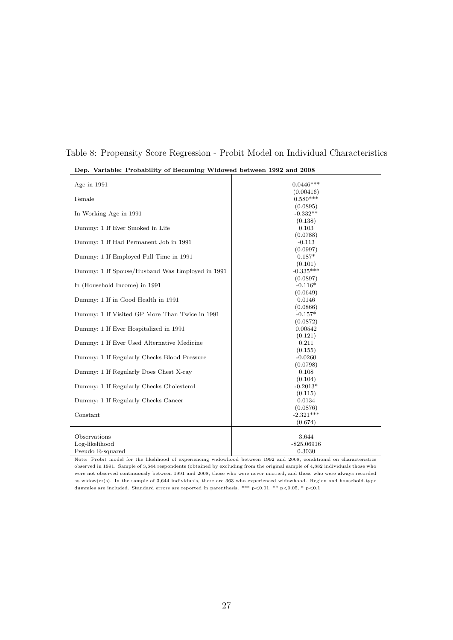| Dep. Variable: Probability of Becoming Widowed between 1992 and 2008 |                        |
|----------------------------------------------------------------------|------------------------|
|                                                                      |                        |
| Age in 1991                                                          | $0.0446***$            |
|                                                                      | (0.00416)              |
| Female                                                               | $0.580***$             |
|                                                                      | (0.0895)               |
| In Working Age in 1991                                               | $-0.332**$             |
|                                                                      | (0.138)                |
| Dummy: 1 If Ever Smoked in Life                                      | 0.103                  |
|                                                                      | (0.0788)               |
| Dummy: 1 If Had Permanent Job in 1991                                | $-0.113$               |
|                                                                      | (0.0997)               |
| Dummy: 1 If Employed Full Time in 1991                               | $0.187*$               |
|                                                                      | (0.101)                |
| Dummy: 1 If Spouse/Husband Was Employed in 1991                      | $-0.335***$            |
|                                                                      | (0.0897)               |
| In (Household Income) in 1991                                        | $-0.116*$              |
|                                                                      | (0.0649)               |
| Dummy: 1 If in Good Health in 1991                                   | 0.0146                 |
|                                                                      | (0.0866)               |
| Dummy: 1 If Visited GP More Than Twice in 1991                       | $-0.157*$              |
|                                                                      | (0.0872)               |
| Dummy: 1 If Ever Hospitalized in 1991                                | 0.00542                |
|                                                                      | (0.121)                |
| Dummy: 1 If Ever Used Alternative Medicine                           | 0.211                  |
|                                                                      | (0.155)                |
| Dummy: 1 If Regularly Checks Blood Pressure                          | $-0.0260$              |
|                                                                      | (0.0798)               |
| Dummy: 1 If Regularly Does Chest X-ray                               | 0.108                  |
|                                                                      | (0.104)                |
| Dummy: 1 If Regularly Checks Cholesterol                             | $-0.2013*$             |
|                                                                      | (0.115)                |
| Dummy: 1 If Regularly Checks Cancer                                  | 0.0134                 |
|                                                                      | (0.0876)               |
| Constant                                                             | $-2.321***$            |
|                                                                      | (0.674)                |
| Observations                                                         |                        |
|                                                                      | 3,644                  |
| Log-likelihood<br>Pseudo R-squared                                   | $-825.06916$<br>0.3030 |
|                                                                      |                        |

Table 8: Propensity Score Regression - Probit Model on Individual Characteristics

Note: Probit model for the likelihood of experiencing widowhood between 1992 and 2008, conditional on characteristics observed in 1991. Sample of 3,644 respondents (obtained by excluding from the original sample of 4,882 individuals those who were not observed continuously between 1991 and 2008, those who were never married, and those who were always recorded as widow(er)s). In the sample of 3,644 individuals, there are 363 who experienced widowhood. Region and household-type dummies are included. Standard errors are reported in parenthesis. \*\*\*  $p<0.01$ , \*\*  $p<0.05$ , \*  $p<0.1$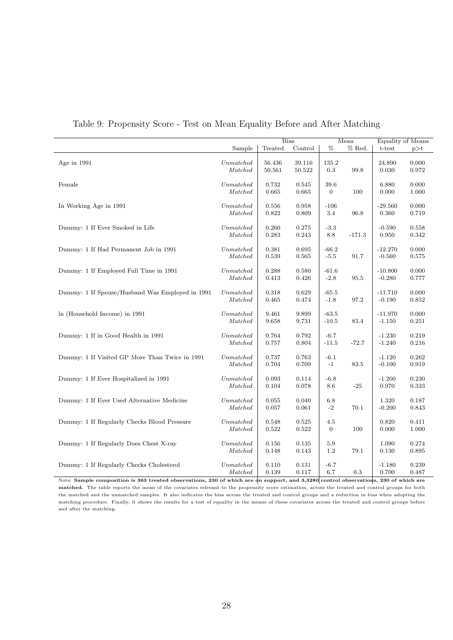|                                                 |             |         | <b>Bias</b> |                | Mean     |           | Equality of Means |
|-------------------------------------------------|-------------|---------|-------------|----------------|----------|-----------|-------------------|
|                                                 | Sample      | Treated | Control     | $\%$           | % Red.   | t-test    | p > t             |
|                                                 |             |         |             |                |          |           |                   |
| Age in $1991$                                   | Unmatched   | 56.436  | 39.116      | 135.2          |          | 24.890    | 0.000             |
|                                                 | Matched     | 50.561  | 50.522      | 0.3            | 99.8     | 0.030     | 0.972             |
|                                                 |             |         |             |                |          |           |                   |
| Female                                          | Unmatched   | 0.732   | 0.545       | 39.6           |          | 6.880     | 0.000             |
|                                                 | Matched     | 0.665   | 0.665       | $\overline{0}$ | 100      | 0.000     | 1.000             |
|                                                 |             |         |             |                |          |           |                   |
| In Working Age in 1991                          | Unmatched   | 0.556   | 0.958       | $-106$         |          | $-29.560$ | 0.000             |
|                                                 | Matched     | 0.822   | 0.809       | 3.4            | 96.8     | 0.360     | 0.719             |
|                                                 |             |         |             |                |          |           |                   |
| Dummy: 1 If Ever Smoked in Life                 | Unmatched   | 0.260   | 0.275       | $-3.3$         |          | $-0.590$  | 0.558             |
|                                                 | Matched     | 0.283   | 0.243       | 8.8            | $-171.3$ | 0.950     | 0.342             |
|                                                 |             |         |             |                |          |           |                   |
| Dummy: 1 If Had Permanent Job in 1991           | $Unmatched$ | 0.381   | 0.695       | $-66.2$        |          | $-12.270$ | 0.000             |
|                                                 | Matched     | 0.539   | 0.565       | $-5.5$         | 91.7     | $-0.560$  | 0.575             |
|                                                 |             |         |             |                |          |           |                   |
| Dummy: 1 If Employed Full Time in 1991          | Unmatched   | 0.288   | 0.580       | $-61.6$        |          | $-10.800$ | 0.000             |
|                                                 | Matched     | 0.413   | 0.426       | $-2.8$         | 95.5     | $-0.280$  | 0.777             |
|                                                 |             |         |             |                |          |           |                   |
| Dummy: 1 If Spouse/Husband Was Employed in 1991 | Unmatched   | 0.318   | 0.629       | $-65.5$        |          | $-11.710$ | 0.000             |
|                                                 | Matched     | 0.465   | 0.474       | $-1.8$         | 97.2     | $-0.190$  | 0.852             |
|                                                 |             |         |             |                |          |           |                   |
| In (Household Income) in 1991                   | Unmatched   | 9.461   | 9.899       | $-63.5$        |          | $-11.970$ | 0.000             |
|                                                 | Matched     | 9.658   | 9.731       | $-10.5$        | 83.4     | $-1.150$  | 0.251             |
|                                                 |             |         |             |                |          |           |                   |
| Dummy: 1 If in Good Health in 1991              | Unmatched   | 0.764   | 0.792       | $-6.7$         |          | $-1.230$  | 0.219             |
|                                                 | Matched     | 0.757   | 0.804       | $-11.5$        | $-72.7$  | $-1.240$  | 0.216             |
|                                                 |             |         |             |                |          |           |                   |
| Dummy: 1 If Visited GP More Than Twice in 1991  | Unmatched   | 0.737   | 0.763       | $-6.1$         |          | $-1.120$  | 0.262             |
|                                                 | Matched     | 0.704   | 0.709       | $-1$           | 83.5     | $-0.100$  | 0.919             |
|                                                 |             |         |             |                |          |           |                   |
| Dummy: 1 If Ever Hospitalized in 1991           | Unmatched   | 0.093   | 0.114       | $-6.8$         |          | $-1.200$  | 0.230             |
|                                                 | Matched     | 0.104   | 0.078       | 8.6            | $-25$    | 0.970     | 0.333             |
|                                                 |             |         |             |                |          |           |                   |
| Dummy: 1 If Ever Used Alternative Medicine      | Unmatched   | 0.055   | 0.040       | 6.8            |          | 1.320     | 0.187             |
|                                                 | Matched     | 0.057   | 0.061       | $-2$           | 70.1     | $-0.200$  | 0.843             |
|                                                 |             |         |             |                |          |           |                   |
| Dummy: 1 If Regularly Checks Blood Pressure     | Unmatched   | 0.548   | 0.525       | 4.5            |          | 0.820     | 0.411             |
|                                                 | Matched     | 0.522   | 0.522       | $\overline{0}$ | 100      | 0.000     | 1.000             |
|                                                 |             |         |             |                |          |           |                   |
| Dummy: 1 If Regularly Does Chest X-ray          | Unmatched   | 0.156   | 0.135       | $5.9\,$        |          | 1.090     | 0.274             |
|                                                 | Matched     | 0.148   | 0.143       | 1.2            | 79.1     | 0.130     | 0.895             |
|                                                 |             |         |             |                |          |           |                   |
| Dummy: 1 If Regularly Checks Cholesterol        | Unmatched   | 0.110   | 0.131       | $-6.7$         |          | $-1.180$  | 0.239             |
|                                                 | Matched     | 0.139   | 0.117       | 6.7            | 0.3      | 0.700     | 0.487             |

| Table 9: Propensity Score - Test on Mean Equality Before and After Matching |  |  |  |  |  |  |  |
|-----------------------------------------------------------------------------|--|--|--|--|--|--|--|
|-----------------------------------------------------------------------------|--|--|--|--|--|--|--|

<code>Note: Sample</code> composition is 363 treated observations, 230 of which are <code>dn</code> support, and 3,3280 control observations, 230 of which are matched. The table reports the mean of the covariates relevant to the propensity score estimation, across the treated and control groups for both the matched and the unmatched samples. It also indicates the bias across the treated and control groups and a reduction in bias when adopting the matching procedure. Finally, it shows the results for a test of equality in the means of these covariates across the treated and control groups before and after the matching.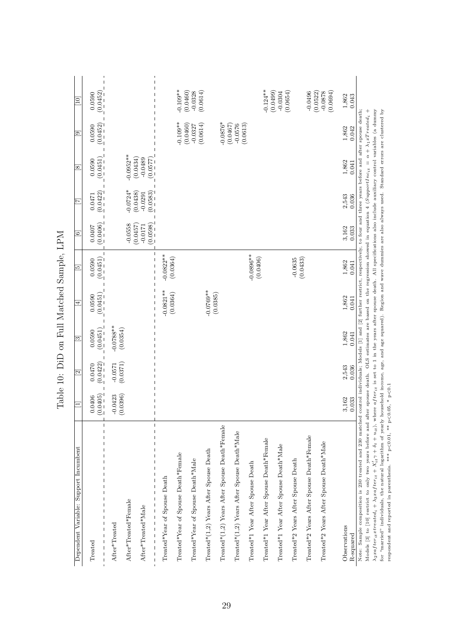| Dependent Variable: Support Incumbent                                                                                                                                                                                                                                                                                                                                                                                                                                                                                                                                                                                                                                                                                                                                                                                                                               |                         | $\overline{\Xi}$      | $\overline{\mathbb{S}}$ | $\overline{4}$                                                                                                                            | $\overline{5}$                                                              | $\Xi$                                          | $\overline{A}$                                  | $\overline{\infty}$                               | ⊡                                                                                                  | $\begin{array}{c} \boxed{10} \end{array}$                                                                                                             |
|---------------------------------------------------------------------------------------------------------------------------------------------------------------------------------------------------------------------------------------------------------------------------------------------------------------------------------------------------------------------------------------------------------------------------------------------------------------------------------------------------------------------------------------------------------------------------------------------------------------------------------------------------------------------------------------------------------------------------------------------------------------------------------------------------------------------------------------------------------------------|-------------------------|-----------------------|-------------------------|-------------------------------------------------------------------------------------------------------------------------------------------|-----------------------------------------------------------------------------|------------------------------------------------|-------------------------------------------------|---------------------------------------------------|----------------------------------------------------------------------------------------------------|-------------------------------------------------------------------------------------------------------------------------------------------------------|
| $\overline{\phantom{a}}$<br>$\mathbf{I}$<br>$\overline{\phantom{a}}$<br>Treated                                                                                                                                                                                                                                                                                                                                                                                                                                                                                                                                                                                                                                                                                                                                                                                     | (0.0405)<br>0.0406      | (0.0422)<br>0.0470    | (0.0451)<br>0.0590      | (0.0451)<br>0.0590                                                                                                                        | (0.0451)<br>0.0590                                                          | (0.0406)<br>0.0407                             | (0.0422)<br>0.0471                              | (0.0451)<br>0.0590                                | (0.0452)<br>0.0590                                                                                 | (0.0452)<br>0.0590                                                                                                                                    |
| $\overline{\phantom{a}}$<br>After*Treated*Female<br>After*Treated*Male<br>After*Treated                                                                                                                                                                                                                                                                                                                                                                                                                                                                                                                                                                                                                                                                                                                                                                             | $-0.0423$<br>$(0.0396)$ | (0.0371)<br>$-0.0571$ | $-0.0788**$<br>(0.0354) |                                                                                                                                           |                                                                             | (0.0598)<br>$-0.0558$<br>(0.0457)<br>$-0.0171$ | $-0.0724*$<br>(0.0438)<br>(0.0583)<br>$-0.0291$ | $-0.0952***$<br>(0.0434)<br>(2.2900)<br>$-0.0489$ |                                                                                                    |                                                                                                                                                       |
| Treated*(1,2) Years After Spouse Death*Female<br>Treated*(1,2) Years After Spouse Death*Male<br>Treated*2 Years After Spouse Death*Female<br>Treated*1 Year After Spouse Death*Female<br>Treated*2 Years After Spouse Death*Male<br>Treated*1 Year After Spouse Death*Male<br>Treated*(1,2) Years After Spouse Death<br>Treated*Year of Spouse Death*Female<br>Treated*Year of Spouse Death*Male<br>Treated*2 Years After Spouse Death<br>Treated*1 Year After Spouse Death<br>Treated*Year of Spouse Death                                                                                                                                                                                                                                                                                                                                                         |                         |                       |                         | $-0.0821**$<br>$-0.0769**$<br>(0.0364)<br>(0.0385)                                                                                        | $-0.0896**$<br>$-0.0822**$<br>(0.0406)<br>(0.0364)<br>(0.0433)<br>$-0.0635$ |                                                |                                                 |                                                   | $-0.109**$<br>$-0.0876*$<br>(0.0460)<br>(0.0614)<br>(0.0613)<br>(0.0467)<br>$-0.0576$<br>$-0.0327$ | $-0.109**$<br>$-0.124***$<br>(0.0460)<br>(0.0499)<br>(0.0614)<br>(0.0654)<br>(0.0694)<br>$-0.0496$<br>(0.0522)<br>$-0.0328$<br>$-0.0878$<br>$-0.0304$ |
| Observations<br>R-squared                                                                                                                                                                                                                                                                                                                                                                                                                                                                                                                                                                                                                                                                                                                                                                                                                                           | 3,162<br>0.033          | 2,543<br>0.036        | 1,862<br>0.041          | 1,862<br>0.041                                                                                                                            | 1,862<br>0.041                                                              | 3,162<br>0.033                                 | 2,543<br>0.036                                  | 1,862<br>0.041                                    | 1,862<br>0.042                                                                                     | 1,862<br>0.043                                                                                                                                        |
| $\lambda_2$ cafter <sub>tte</sub> treated <sub>i</sub> + $\lambda_3$ cafter <sub>ti</sub> + $\lambda_{t_1}^{i} \gamma$ + $\lambda_{t_1}^{i} \gamma$ + $\delta_t$ + $u_{it}$ ), where after <sub>ti</sub> is set to 1 in the years after spouse death. All specifications also include auxiliary control variables<br>for "married" individuals, the natural logarithm of yearly household income, age, and age squared). Region and wave dummies are also always used. Standard errors are clustered by<br>Note: Sample composition is 230 treated and 230 matched control individuals; Models [1] and [2] further restrict, respectively, to four and three years before and after spouse death;<br>Models [3] to [10] restrict to only two years before and after spouse death.<br>respondent and reported in parenthesis. *** $p<0.01$ , ** $p<0.05$ , * $p<0.1$ |                         |                       |                         | OLS estimates are based on the regression showed in equation 4 (SupportInc <sub>it</sub> = $\alpha + \lambda_1 x T$ reated <sub>i</sub> + |                                                                             |                                                |                                                 |                                                   |                                                                                                    |                                                                                                                                                       |

Table 10: DiD on Full Matched Sample, LPM Table 10: DiD on Full Matched Sample, LPM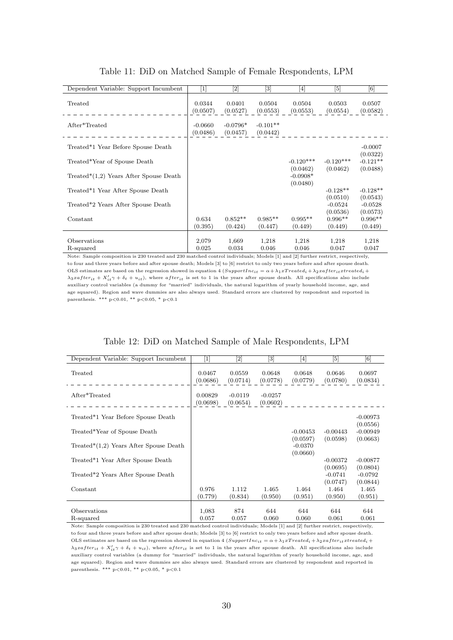| Dependent Variable: Support Incumbent    | $\left\lceil 1 \right\rceil$ | $[2] % \includegraphics[width=0.9\columnwidth]{figures/fig_0a.pdf} \caption{The graph $\mathcal{N}_a$ is a function of the parameter $\mathcal{N}_a$ for the $a=1$ and $b=1$ and $b=1$ for the $a=1$ and $b=1$ for the $a=1$ and $b=1$ for the $a=1$ and $b=1$ for the $a=1$ and $b=1$ for the $a=1$ for the $a=1$ and $b=1$ for the $a=1$ for the $a=1$ for the $a=1$ for the $a=1$ for the $a=1$ for the $a=1$ for the $a=1$ for the $a=1$ for the $a=1$ for the $a=1$ for the $a=1$$ | $[3] % \includegraphics[width=0.9\columnwidth]{figures/fig_1a} \caption{Schematic diagram of the top of the top of the top of the right.} \label{fig:1} %$ | [4]                | [5]                | [6]                    |
|------------------------------------------|------------------------------|-----------------------------------------------------------------------------------------------------------------------------------------------------------------------------------------------------------------------------------------------------------------------------------------------------------------------------------------------------------------------------------------------------------------------------------------------------------------------------------------|------------------------------------------------------------------------------------------------------------------------------------------------------------|--------------------|--------------------|------------------------|
| Treated                                  | 0.0344<br>(0.0507)           | 0.0401<br>(0.0527)                                                                                                                                                                                                                                                                                                                                                                                                                                                                      | 0.0504<br>(0.0553)                                                                                                                                         | 0.0504<br>(0.0553) | 0.0503<br>(0.0554) | 0.0507<br>(0.0582)     |
| After*Treated                            | $-0.0660$<br>(0.0486)        | $-0.0796*$<br>(0.0457)                                                                                                                                                                                                                                                                                                                                                                                                                                                                  | $-0.101**$<br>(0.0442)                                                                                                                                     |                    |                    |                        |
| Treated*1 Year Before Spouse Death       |                              |                                                                                                                                                                                                                                                                                                                                                                                                                                                                                         |                                                                                                                                                            |                    |                    | $-0.0007$              |
| Treated*Year of Spouse Death             |                              |                                                                                                                                                                                                                                                                                                                                                                                                                                                                                         |                                                                                                                                                            | $-0.120***$        | $-0.120***$        | (0.0322)<br>$-0.121**$ |
|                                          |                              |                                                                                                                                                                                                                                                                                                                                                                                                                                                                                         |                                                                                                                                                            | (0.0462)           | (0.0462)           | (0.0488)               |
| $Treated*(1,2) Years After Spouse Death$ |                              |                                                                                                                                                                                                                                                                                                                                                                                                                                                                                         |                                                                                                                                                            | $-0.0908*$         |                    |                        |
| Treated*1 Year After Spouse Death        |                              |                                                                                                                                                                                                                                                                                                                                                                                                                                                                                         |                                                                                                                                                            | (0.0480)           | $-0.128**$         | $-0.128**$             |
|                                          |                              |                                                                                                                                                                                                                                                                                                                                                                                                                                                                                         |                                                                                                                                                            |                    | (0.0510)           | (0.0543)               |
| Treated*2 Years After Spouse Death       |                              |                                                                                                                                                                                                                                                                                                                                                                                                                                                                                         |                                                                                                                                                            |                    | $-0.0524$          | $-0.0528$              |
|                                          |                              |                                                                                                                                                                                                                                                                                                                                                                                                                                                                                         |                                                                                                                                                            |                    | (0.0536)           | (0.0573)               |
| Constant                                 | 0.634                        | $0.852**$                                                                                                                                                                                                                                                                                                                                                                                                                                                                               | $0.985**$                                                                                                                                                  | $0.995**$          | $0.996**$          | $0.996**$              |
|                                          | (0.395)                      | (0.424)                                                                                                                                                                                                                                                                                                                                                                                                                                                                                 | (0.447)                                                                                                                                                    | (0.449)            | (0.449)            | (0.449)                |
|                                          |                              |                                                                                                                                                                                                                                                                                                                                                                                                                                                                                         |                                                                                                                                                            |                    |                    |                        |
| Observations                             | 2,079                        | 1,669                                                                                                                                                                                                                                                                                                                                                                                                                                                                                   | 1,218                                                                                                                                                      | 1,218              | 1,218              | 1,218                  |
| R-squared                                | 0.025                        | 0.034                                                                                                                                                                                                                                                                                                                                                                                                                                                                                   | 0.046                                                                                                                                                      | 0.046              | 0.047              | 0.047                  |

#### Table 11: DiD on Matched Sample of Female Respondents, LPM

Note: Sample composition is 230 treated and 230 matched control individuals; Models [1] and [2] further restrict, respectively, to four and three years before and after spouse death; Models [3] to [6] restrict to only two years before and after spouse death. OLS estimates are based on the regression showed in equation 4 (SupportInc<sub>it</sub> =  $\alpha + \lambda_1 x Treated_i + \lambda_2 x after_{it}treated_i + \lambda_3 x$  $\lambda_3xaffer_{it} + X'_{it}\gamma + \delta_t + u_{it}),$  where after<sub>it</sub> is set to 1 in the years after spouse death. All specifications also include auxiliary control variables (a dummy for "married" individuals, the natural logarithm of yearly household income, age, and age squared). Region and wave dummies are also always used. Standard errors are clustered by respondent and reported in parenthesis. \*\*\* p<0.01, \*\* p<0.05, \* p<0.1

#### Table 12: DiD on Matched Sample of Male Respondents, LPM

| Dependent Variable: Support Incumbent     | $\lceil 1 \rceil$   | [2]                   | $[3] % \includegraphics[width=0.9\columnwidth]{figures/fig_1a} \caption{Schematic diagram of the top of the top of the top of the right.} \label{fig:1} %$ | [4]                               | [5]                    | [6]                    |
|-------------------------------------------|---------------------|-----------------------|------------------------------------------------------------------------------------------------------------------------------------------------------------|-----------------------------------|------------------------|------------------------|
| Treated                                   | 0.0467<br>(0.0686)  | 0.0559<br>(0.0714)    | 0.0648<br>(0.0778)                                                                                                                                         | 0.0648<br>(0.0779)                | 0.0646<br>(0.0780)     | 0.0697<br>(0.0834)     |
| After*Treated                             | 0.00829<br>(0.0698) | $-0.0119$<br>(0.0654) | $-0.0257$<br>(0.0602)                                                                                                                                      |                                   |                        |                        |
| Treated*1 Year Before Spouse Death        |                     |                       |                                                                                                                                                            |                                   |                        | $-0.00973$             |
| Treated*Year of Spouse Death              |                     |                       |                                                                                                                                                            | $-0.00453$                        | $-0.00443$             | (0.0556)<br>$-0.00949$ |
| Treated* $(1,2)$ Years After Spouse Death |                     |                       |                                                                                                                                                            | (0.0597)<br>$-0.0370$<br>(0.0660) | (0.0598)               | (0.0663)               |
| Treated*1 Year After Spouse Death         |                     |                       |                                                                                                                                                            |                                   | $-0.00372$<br>(0.0695) | $-0.00877$<br>(0.0804) |
| Treated*2 Years After Spouse Death        |                     |                       |                                                                                                                                                            |                                   | $-0.0741$<br>(0.0747)  | $-0.0792$<br>(0.0844)  |
| Constant                                  | 0.976<br>(0.779)    | 1.112<br>(0.834)      | 1.465<br>(0.950)                                                                                                                                           | 1.464<br>(0.951)                  | 1.464<br>(0.950)       | 1.465<br>(0.951)       |
| Observations<br>R-squared                 | 1,083<br>0.057      | 874<br>0.057          | 644<br>0.060                                                                                                                                               | 644<br>0.060                      | 644<br>0.061           | 644<br>0.061           |

Note: Sample composition is 230 treated and 230 matched control individuals; Models [1] and [2] further restrict, respectively, to four and three years before and after spouse death; Models [3] to [6] restrict to only two years before and after spouse death. OLS estimates are based on the regression showed in equation 4 (SupportInc<sub>it</sub> =  $\alpha + \lambda_1 x Treated_i + \lambda_2 x after_{it}x treated_i + \lambda_3 x$  $\lambda_3xaffer_{it} + X'_{it}\gamma + \delta_t + u_{it}$ , where  $after_{it}$  is set to 1 in the years after spouse death. All specifications also include auxiliary control variables (a dummy for "married" individuals, the natural logarithm of yearly household income, age, and age squared). Region and wave dummies are also always used. Standard errors are clustered by respondent and reported in parenthesis. \*\*\* p<0.01, \*\* p<0.05, \* p<0.1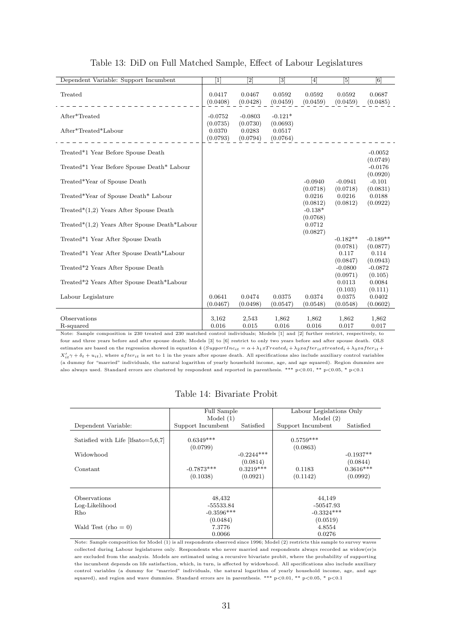| Dependent Variable: Support Incumbent         | $\lceil 1 \rceil$  | $\left\lceil 2 \right\rceil$ | $[3] % \includegraphics[width=1\textwidth]{images/TrDiM-Architecture.png} \caption{The image shows the image shows a different image. The image shows a different image shows a different image.} \label{TrDiS}$ | $[4]$                 | $\lceil 5 \rceil$  | [6]                  |
|-----------------------------------------------|--------------------|------------------------------|------------------------------------------------------------------------------------------------------------------------------------------------------------------------------------------------------------------|-----------------------|--------------------|----------------------|
| Treated                                       | 0.0417<br>(0.0408) | 0.0467<br>(0.0428)           | 0.0592<br>(0.0459)                                                                                                                                                                                               | 0.0592<br>(0.0459)    | 0.0592<br>(0.0459) | 0.0687<br>(0.0485)   |
| After*Treated                                 | $-0.0752$          | $-0.0803$                    | $-0.121*$                                                                                                                                                                                                        |                       |                    |                      |
|                                               | (0.0735)           | (0.0730)                     | (0.0693)                                                                                                                                                                                                         |                       |                    |                      |
| After*Treated*Labour                          | 0.0370             | 0.0283                       | 0.0517                                                                                                                                                                                                           |                       |                    |                      |
|                                               | (0.0793)           | (0.0794)                     | (0.0764)                                                                                                                                                                                                         |                       |                    |                      |
| Treated*1 Year Before Spouse Death            |                    |                              |                                                                                                                                                                                                                  |                       |                    | $-0.0052$            |
|                                               |                    |                              |                                                                                                                                                                                                                  |                       |                    | (0.0749)             |
| Treated*1 Year Before Spouse Death* Labour    |                    |                              |                                                                                                                                                                                                                  |                       |                    | $-0.0176$            |
| Treated*Year of Spouse Death                  |                    |                              |                                                                                                                                                                                                                  | $-0.0940$             | $-0.0941$          | (0.0920)<br>$-0.101$ |
|                                               |                    |                              |                                                                                                                                                                                                                  | (0.0718)              | (0.0718)           | (0.0831)             |
| Treated*Year of Spouse Death* Labour          |                    |                              |                                                                                                                                                                                                                  | 0.0216                | 0.0216             | 0.0188               |
|                                               |                    |                              |                                                                                                                                                                                                                  | (0.0812)              | (0.0812)           | (0.0922)             |
| Treated* $(1,2)$ Years After Spouse Death     |                    |                              |                                                                                                                                                                                                                  | $-0.138*$<br>(0.0768) |                    |                      |
| Treated*(1,2) Years After Spouse Death*Labour |                    |                              |                                                                                                                                                                                                                  | 0.0712                |                    |                      |
|                                               |                    |                              |                                                                                                                                                                                                                  | (0.0827)              |                    |                      |
| Treated*1 Year After Spouse Death             |                    |                              |                                                                                                                                                                                                                  |                       | $-0.182**$         | $-0.189**$           |
| Treated*1 Year After Spouse Death*Labour      |                    |                              |                                                                                                                                                                                                                  |                       | (0.0781)<br>0.117  | (0.0877)<br>0.114    |
|                                               |                    |                              |                                                                                                                                                                                                                  |                       | (0.0847)           | (0.0943)             |
| Treated*2 Years After Spouse Death            |                    |                              |                                                                                                                                                                                                                  |                       | $-0.0800$          | $-0.0872$            |
|                                               |                    |                              |                                                                                                                                                                                                                  |                       | (0.0971)           | (0.105)              |
| Treated*2 Years After Spouse Death*Labour     |                    |                              |                                                                                                                                                                                                                  |                       | 0.0113<br>(0.103)  | 0.0084<br>(0.111)    |
| Labour Legislature                            | 0.0641             | 0.0474                       | 0.0375                                                                                                                                                                                                           | 0.0374                | 0.0375             | 0.0402               |
|                                               | (0.0467)           | (0.0498)                     | (0.0547)                                                                                                                                                                                                         | (0.0548)              | (0.0548)           | (0.0602)             |
|                                               |                    |                              |                                                                                                                                                                                                                  |                       |                    |                      |
| Observations<br>R-squared                     | 3,162<br>0.016     | 2,543<br>0.015               | 1,862<br>0.016                                                                                                                                                                                                   | 1,862<br>0.016        | 1,862<br>0.017     | 1,862<br>0.017       |
|                                               |                    |                              |                                                                                                                                                                                                                  |                       |                    |                      |

#### Table 13: DiD on Full Matched Sample, Effect of Labour Legislatures

Note: Sample composition is 230 treated and 230 matched control individuals; Models [1] and [2] further restrict, respectively, to four and three years before and after spouse death; Models [3] to [6] restrict to only two years before and after spouse death. OLS estimates are based on the regression showed in equation 4 (SupportInc<sub>it</sub> =  $\alpha + \lambda_1 x T readed_i + \lambda_2 x after_{it}x treated_i + \lambda_3 x after_{it} + \lambda_4 x T readed_i)$  $X'_{it}\gamma + \delta_t + u_{it}$ , where  $after_{it}$  is set to 1 in the years after spouse death. All specifications also include auxiliary control variables (a dummy for "married" individuals, the natural logarithm of yearly household income, age, and age squared). Region dummies are also always used. Standard errors are clustered by respondent and reported in parenthesis. \*\*\*  $p<0.01$ , \*\*  $p<0.05$ , \*  $p<0.1$ 

#### Table 14: Bivariate Probit

|                                               | Full Sample                    |                          | Labour Legislations Only |                         |  |
|-----------------------------------------------|--------------------------------|--------------------------|--------------------------|-------------------------|--|
|                                               | Model $(1)$                    |                          | Model $(2)$              |                         |  |
| Dependent Variable:                           | Satisfied<br>Support Incumbent |                          | Support Incumbent        | Satisfied               |  |
| Satisfied with Life $[{\text{lfsato}}=5,6,7]$ | $0.6349***$<br>(0.0799)        |                          | $0.5759***$<br>(0.0863)  |                         |  |
| Widowhood                                     |                                | $-0.2244***$<br>(0.0814) |                          | $-0.1937**$<br>(0.0844) |  |
| Constant                                      | $-0.7873***$<br>(0.1038)       | $0.3219***$<br>(0.0921)  | 0.1183<br>(0.1142)       | $0.3616***$<br>(0.0992) |  |
|                                               |                                |                          |                          |                         |  |
| Observations<br>Log-Likelihood                | 48,432<br>-55533.84            |                          | 44,149<br>$-50547.93$    |                         |  |
| Rho                                           | $-0.3596***$                   |                          | $-0.3324***$             |                         |  |
|                                               | (0.0484)                       |                          | (0.0519)                 |                         |  |
| Wald Test $(rho = 0)$                         | 7.3776                         |                          | 4.8554                   |                         |  |
|                                               | 0.0066                         |                          | 0.0276                   |                         |  |

Note: Sample composition for Model (1) is all respondents observed since 1996; Model (2) restricts this sample to survey waves collected during Labour legislatures only. Respondents who never married and respondents always recorded as widow(er)s are excluded from the analysis. Models are estimated using a recursive bivariate probit, where the probability of supporting the incumbent depends on life satisfaction, which, in turn, is affected by widowhood. All specifications also include auxiliary control variables (a dummy for "married" individuals, the natural logarithm of yearly household income, age, and age squared), and region and wave dummies. Standard errors are in parenthesis. \*\*\*  $p<0.01$ , \*\*  $p<0.05$ , \*  $p<0.1$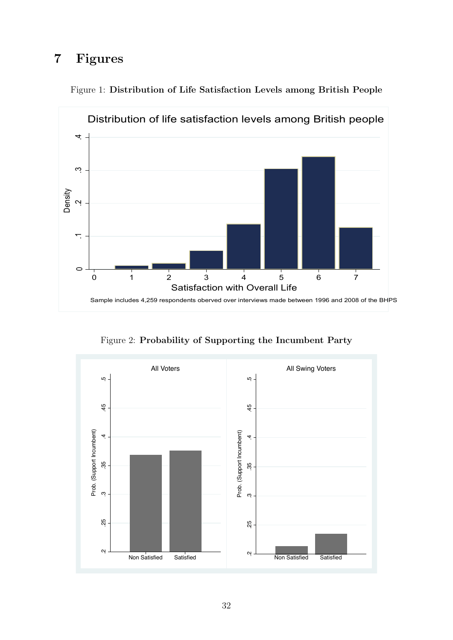## 7 Figures



Figure 1: Distribution of Life Satisfaction Levels among British People

Figure 2: Probability of Supporting the Incumbent Party

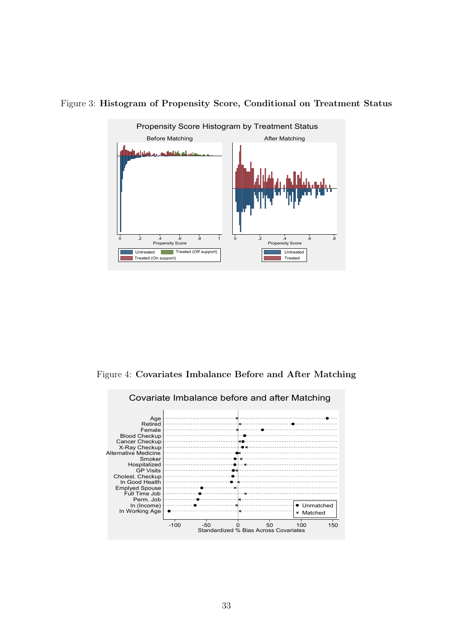

Figure 3: Histogram of Propensity Score, Conditional on Treatment Status

Figure 4: Covariates Imbalance Before and After Matching

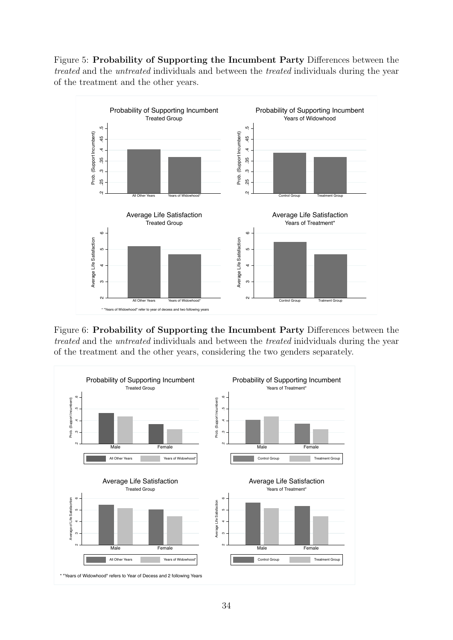Figure 5: Probability of Supporting the Incumbent Party Differences between the treated and the untreated individuals and between the treated individuals during the year of the treatment and the other years.



Figure 6: Probability of Supporting the Incumbent Party Differences between the treated and the untreated individuals and between the treated inidviduals during the year of the treatment and the other years, considering the two genders separately.

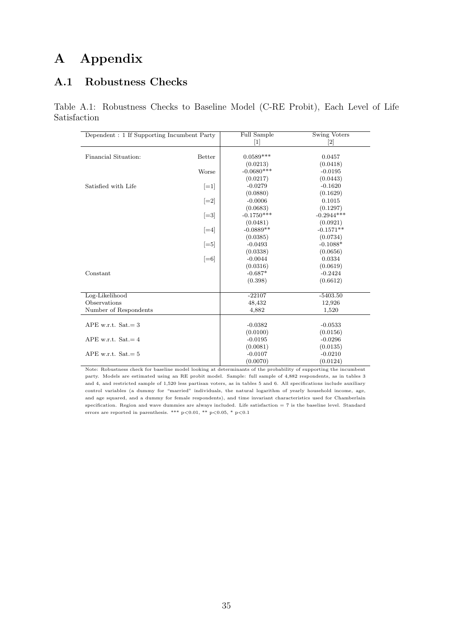## A Appendix

### A.1 Robustness Checks

Table A.1: Robustness Checks to Baseline Model (C-RE Probit), Each Level of Life Satisfaction

| Dependent: 1 If Supporting Incumbent Party |                    | Full Sample  | <b>Swing Voters</b>          |  |  |
|--------------------------------------------|--------------------|--------------|------------------------------|--|--|
|                                            |                    | $[1]$        | $\left\lceil 2 \right\rceil$ |  |  |
|                                            |                    |              |                              |  |  |
| Financial Situation:<br><b>Better</b>      |                    | $0.0589***$  | 0.0457                       |  |  |
|                                            |                    | (0.0213)     | (0.0418)                     |  |  |
|                                            | Worse              | $-0.0680***$ | $-0.0195$                    |  |  |
|                                            |                    | (0.0217)     | (0.0443)                     |  |  |
| Satisfied with Life                        | $ =1$              | $-0.0279$    | $-0.1620$                    |  |  |
|                                            |                    | (0.0880)     | (0.1629)                     |  |  |
|                                            | $\left[-2\right]$  | $-0.0006$    | 0.1015                       |  |  |
|                                            |                    | (0.0683)     | (0.1297)                     |  |  |
|                                            | $[-3]$             | $-0.1750***$ | $-0.2944***$                 |  |  |
|                                            |                    | (0.0481)     | (0.0921)                     |  |  |
|                                            | $\left =4\right $  | $-0.0889**$  | $-0.1571**$                  |  |  |
|                                            |                    | (0.0385)     | (0.0734)                     |  |  |
|                                            | $\left  =5\right $ | $-0.0493$    | $-0.1088*$                   |  |  |
|                                            |                    | (0.0338)     | (0.0656)                     |  |  |
|                                            | $\left[-6\right]$  | $-0.0044$    | 0.0334                       |  |  |
|                                            |                    | (0.0316)     | (0.0619)                     |  |  |
| Constant                                   |                    | $-0.687*$    | $-0.2424$                    |  |  |
|                                            |                    | (0.398)      | (0.6612)                     |  |  |
|                                            |                    |              |                              |  |  |
| Log-Likelihood                             |                    | $-22107$     | $-5403.50$                   |  |  |
| Observations                               |                    | 48,432       | 12,926                       |  |  |
| Number of Respondents                      |                    | 4,882        | 1,520                        |  |  |
|                                            |                    |              |                              |  |  |
| APE w.r.t. $Sat = 3$                       |                    | $-0.0382$    | $-0.0533$                    |  |  |
|                                            |                    | (0.0100)     | (0.0156)                     |  |  |
| APE w.r.t. $Sat = 4$                       |                    | $-0.0195$    | $-0.0296$                    |  |  |
|                                            |                    | (0.0081)     | (0.0135)                     |  |  |
| APE w.r.t. $Sat = 5$                       |                    | $-0.0107$    | $-0.0210$                    |  |  |
|                                            |                    | (0.0070)     | (0.0124)                     |  |  |

Note: Robustness check for baseline model looking at determinants of the probability of supporting the incumbent party. Models are estimated using an RE probit model. Sample: full sample of 4,882 respondents, as in tables 3 and 4, and restricted sample of 1,520 less partisan voters, as in tables 5 and 6. All specifications include auxiliary control variables (a dummy for "married" individuals, the natural logarithm of yearly household income, age, and age squared, and a dummy for female respondents), and time invariant characteristics used for Chamberlain specification. Region and wave dummies are always included. Life satisfaction  $= 7$  is the baseline level. Standard errors are reported in parenthesis. \*\*\* p<0.01, \*\* p<0.05, \* p<0.1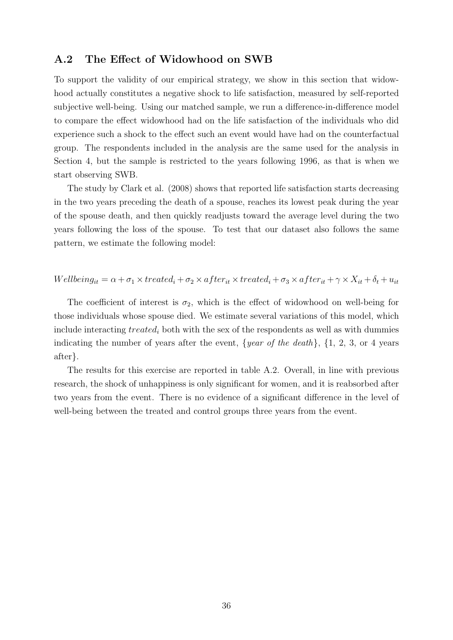#### A.2 The Effect of Widowhood on SWB

To support the validity of our empirical strategy, we show in this section that widowhood actually constitutes a negative shock to life satisfaction, measured by self-reported subjective well-being. Using our matched sample, we run a difference-in-difference model to compare the effect widowhood had on the life satisfaction of the individuals who did experience such a shock to the effect such an event would have had on the counterfactual group. The respondents included in the analysis are the same used for the analysis in Section 4, but the sample is restricted to the years following 1996, as that is when we start observing SWB.

The study by Clark et al. (2008) shows that reported life satisfaction starts decreasing in the two years preceding the death of a spouse, reaches its lowest peak during the year of the spouse death, and then quickly readjusts toward the average level during the two years following the loss of the spouse. To test that our dataset also follows the same pattern, we estimate the following model:

 $Wellbeing_{it} = \alpha + \sigma_1 \times treated_i + \sigma_2 \times after_{it} \times treated_i + \sigma_3 \times after_{it} + \gamma \times X_{it} + \delta_t + u_{it}$ 

The coefficient of interest is  $\sigma_2$ , which is the effect of widowhood on well-being for those individuals whose spouse died. We estimate several variations of this model, which include interacting  $treated_i$  both with the sex of the respondents as well as with dummies indicating the number of years after the event,  $\{year\ of\ the\ death\}$ ,  $\{1, 2, 3,$  or 4 years after}.

The results for this exercise are reported in table A.2. Overall, in line with previous research, the shock of unhappiness is only significant for women, and it is reabsorbed after two years from the event. There is no evidence of a significant difference in the level of well-being between the treated and control groups three years from the event.